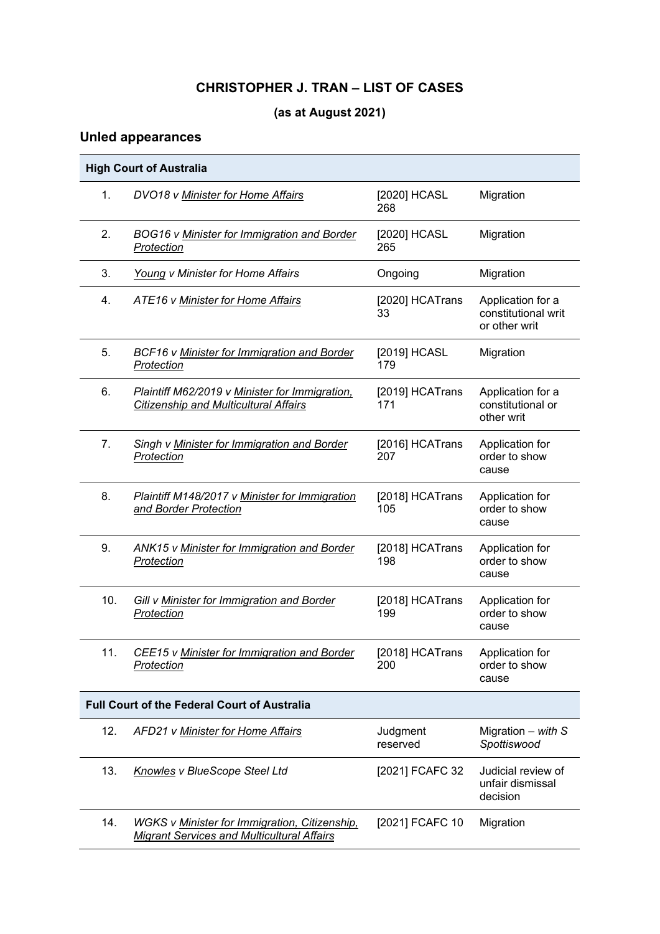# **CHRISTOPHER J. TRAN – LIST OF CASES**

# **(as at August 2021)**

# **Unled appearances**

|     | <b>High Court of Australia</b>                                                                            |                        |                                                           |
|-----|-----------------------------------------------------------------------------------------------------------|------------------------|-----------------------------------------------------------|
| 1.  | DVO18 v Minister for Home Affairs                                                                         | [2020] HCASL<br>268    | Migration                                                 |
| 2.  | BOG16 v Minister for Immigration and Border<br>Protection                                                 | [2020] HCASL<br>265    | Migration                                                 |
| 3.  | Young v Minister for Home Affairs                                                                         | Ongoing                | Migration                                                 |
| 4.  | ATE16 v Minister for Home Affairs                                                                         | [2020] HCATrans<br>33  | Application for a<br>constitutional writ<br>or other writ |
| 5.  | BCF16 v Minister for Immigration and Border<br>Protection                                                 | [2019] HCASL<br>179    | Migration                                                 |
| 6.  | Plaintiff M62/2019 v Minister for Immigration,<br><b>Citizenship and Multicultural Affairs</b>            | [2019] HCATrans<br>171 | Application for a<br>constitutional or<br>other writ      |
| 7.  | Singh v Minister for Immigration and Border<br>Protection                                                 | [2016] HCATrans<br>207 | Application for<br>order to show<br>cause                 |
| 8.  | Plaintiff M148/2017 v Minister for Immigration<br>and Border Protection                                   | [2018] HCATrans<br>105 | Application for<br>order to show<br>cause                 |
| 9.  | ANK15 v Minister for Immigration and Border<br>Protection                                                 | [2018] HCATrans<br>198 | Application for<br>order to show<br>cause                 |
| 10. | Gill v Minister for Immigration and Border<br>Protection                                                  | [2018] HCATrans<br>199 | Application for<br>order to show<br>cause                 |
| 11. | CEE15 v Minister for Immigration and Border<br>Protection                                                 | [2018] HCATrans<br>200 | Application for<br>order to show<br>cause                 |
|     | <b>Full Court of the Federal Court of Australia</b>                                                       |                        |                                                           |
| 12. | AFD21 v Minister for Home Affairs                                                                         | Judgment<br>reserved   | Migration $-$ with S<br>Spottiswood                       |
| 13. | Knowles v BlueScope Steel Ltd                                                                             | [2021] FCAFC 32        | Judicial review of<br>unfair dismissal<br>decision        |
| 14. | <b>WGKS v Minister for Immigration, Citizenship,</b><br><b>Migrant Services and Multicultural Affairs</b> | [2021] FCAFC 10        | Migration                                                 |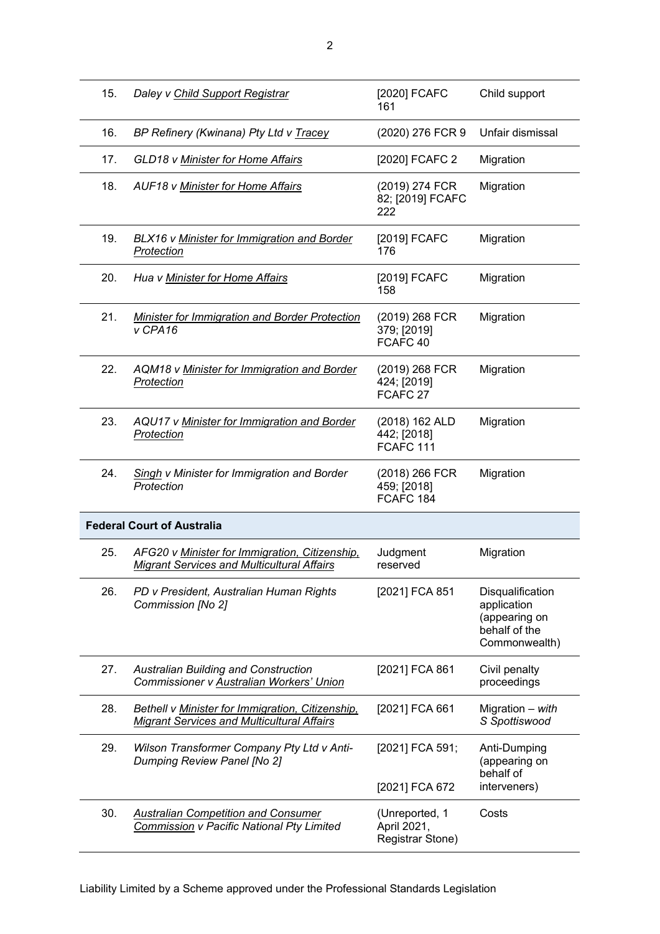| 15. | Daley v Child Support Registrar                                                                       | [2020] FCAFC<br>161                                   | Child support                                                                      |
|-----|-------------------------------------------------------------------------------------------------------|-------------------------------------------------------|------------------------------------------------------------------------------------|
| 16. | BP Refinery (Kwinana) Pty Ltd v Tracey                                                                | (2020) 276 FCR 9                                      | Unfair dismissal                                                                   |
| 17. | GLD18 v Minister for Home Affairs                                                                     | [2020] FCAFC 2                                        | Migration                                                                          |
| 18. | AUF18 v Minister for Home Affairs                                                                     | (2019) 274 FCR<br>82; [2019] FCAFC<br>222             | Migration                                                                          |
| 19. | BLX16 v Minister for Immigration and Border<br>Protection                                             | [2019] FCAFC<br>176                                   | Migration                                                                          |
| 20. | Hua v Minister for Home Affairs                                                                       | [2019] FCAFC<br>158                                   | Migration                                                                          |
| 21. | <b>Minister for Immigration and Border Protection</b><br>v CPA16                                      | (2019) 268 FCR<br>379; [2019]<br>FCAFC 40             | Migration                                                                          |
| 22. | AQM18 v Minister for Immigration and Border<br>Protection                                             | (2019) 268 FCR<br>424; [2019]<br>FCAFC <sub>27</sub>  | Migration                                                                          |
| 23. | AQU17 v Minister for Immigration and Border<br>Protection                                             | (2018) 162 ALD<br>442; [2018]<br>FCAFC <sub>111</sub> | Migration                                                                          |
| 24. | <b>Singh v Minister for Immigration and Border</b><br>Protection                                      | (2018) 266 FCR<br>459; [2018]<br>FCAFC 184            | Migration                                                                          |
|     | <b>Federal Court of Australia</b>                                                                     |                                                       |                                                                                    |
| 25. | AFG20 v Minister for Immigration, Citizenship,<br><b>Migrant Services and Multicultural Affairs</b>   | Judgment<br>reserved                                  | Migration                                                                          |
| 26. | PD v President, Australian Human Rights<br>Commission [No 2]                                          | [2021] FCA 851                                        | Disqualification<br>application<br>(appearing on<br>behalf of the<br>Commonwealth) |
| 27. | <b>Australian Building and Construction</b><br>Commissioner v Australian Workers' Union               | [2021] FCA 861                                        | Civil penalty<br>proceedings                                                       |
| 28. | Bethell v Minister for Immigration, Citizenship,<br><b>Migrant Services and Multicultural Affairs</b> | [2021] FCA 661                                        | Migration - with<br>S Spottiswood                                                  |
| 29. | Wilson Transformer Company Pty Ltd v Anti-<br>Dumping Review Panel [No 2]                             | [2021] FCA 591;<br>[2021] FCA 672                     | Anti-Dumping<br>(appearing on<br>behalf of<br>interveners)                         |
| 30. | <b>Australian Competition and Consumer</b><br>Commission v Pacific National Pty Limited               | (Unreported, 1<br>April 2021,<br>Registrar Stone)     | Costs                                                                              |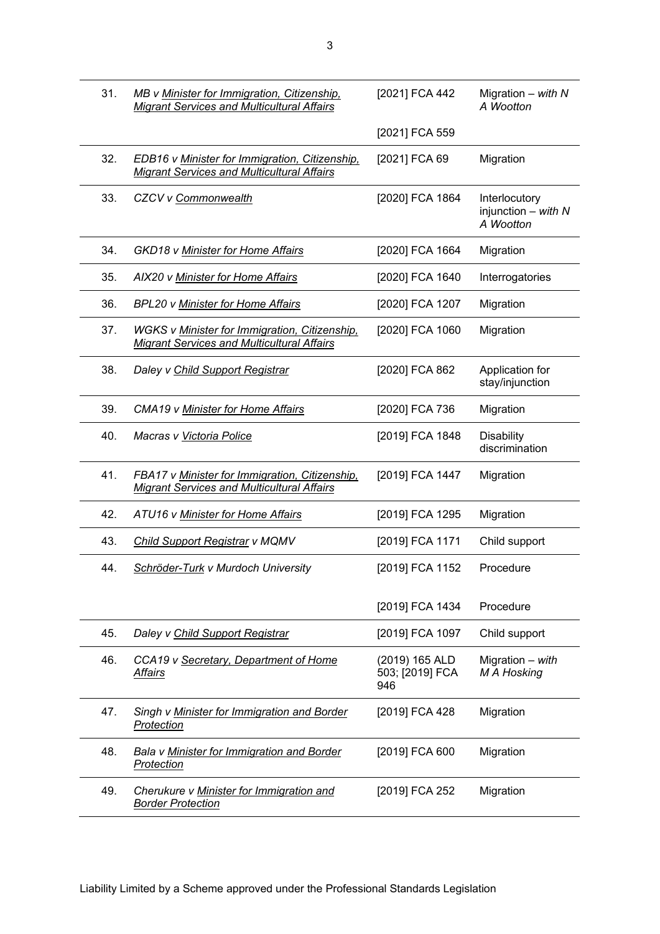|     | <b>Migrant Services and Multicultural Affairs</b>                                                         |                                          | Migration $-$ with $N$<br>A Wootton                   |
|-----|-----------------------------------------------------------------------------------------------------------|------------------------------------------|-------------------------------------------------------|
|     |                                                                                                           | [2021] FCA 559                           |                                                       |
| 32. | EDB16 v Minister for Immigration, Citizenship,<br><b>Migrant Services and Multicultural Affairs</b>       | [2021] FCA 69                            | Migration                                             |
| 33. | CZCV v Commonwealth                                                                                       | [2020] FCA 1864                          | Interlocutory<br>injunction $-$ with $N$<br>A Wootton |
| 34. | GKD18 v Minister for Home Affairs                                                                         | [2020] FCA 1664                          | Migration                                             |
| 35. | AIX20 v Minister for Home Affairs                                                                         | [2020] FCA 1640                          | Interrogatories                                       |
| 36. | <b>BPL20 v Minister for Home Affairs</b>                                                                  | [2020] FCA 1207                          | Migration                                             |
| 37. | <b>WGKS v Minister for Immigration, Citizenship,</b><br><b>Migrant Services and Multicultural Affairs</b> | [2020] FCA 1060                          | Migration                                             |
| 38. | Daley v Child Support Registrar                                                                           | [2020] FCA 862                           | Application for<br>stay/injunction                    |
| 39. | CMA19 v Minister for Home Affairs                                                                         | [2020] FCA 736                           | Migration                                             |
| 40. | Macras v Victoria Police                                                                                  | [2019] FCA 1848                          | <b>Disability</b><br>discrimination                   |
| 41. | FBA17 v Minister for Immigration, Citizenship,<br><b>Migrant Services and Multicultural Affairs</b>       | [2019] FCA 1447                          | Migration                                             |
| 42. | ATU16 v Minister for Home Affairs                                                                         | [2019] FCA 1295                          | Migration                                             |
| 43. | <b>Child Support Registrar v MQMV</b>                                                                     | [2019] FCA 1171                          | Child support                                         |
| 44. | Schröder-Turk v Murdoch University                                                                        | [2019] FCA 1152                          | Procedure                                             |
|     |                                                                                                           | [2019] FCA 1434                          | Procedure                                             |
| 45. | Daley v Child Support Registrar                                                                           | [2019] FCA 1097                          | Child support                                         |
| 46. | CCA19 v Secretary, Department of Home<br><u>Affairs</u>                                                   | (2019) 165 ALD<br>503; [2019] FCA<br>946 | Migration - with<br>M A Hosking                       |
| 47. | Singh v Minister for Immigration and Border<br>Protection                                                 | [2019] FCA 428                           | Migration                                             |
| 48. | Bala v Minister for Immigration and Border<br>Protection                                                  | [2019] FCA 600                           | Migration                                             |
| 49. | Cherukure v Minister for Immigration and<br><b>Border Protection</b>                                      | [2019] FCA 252                           | Migration                                             |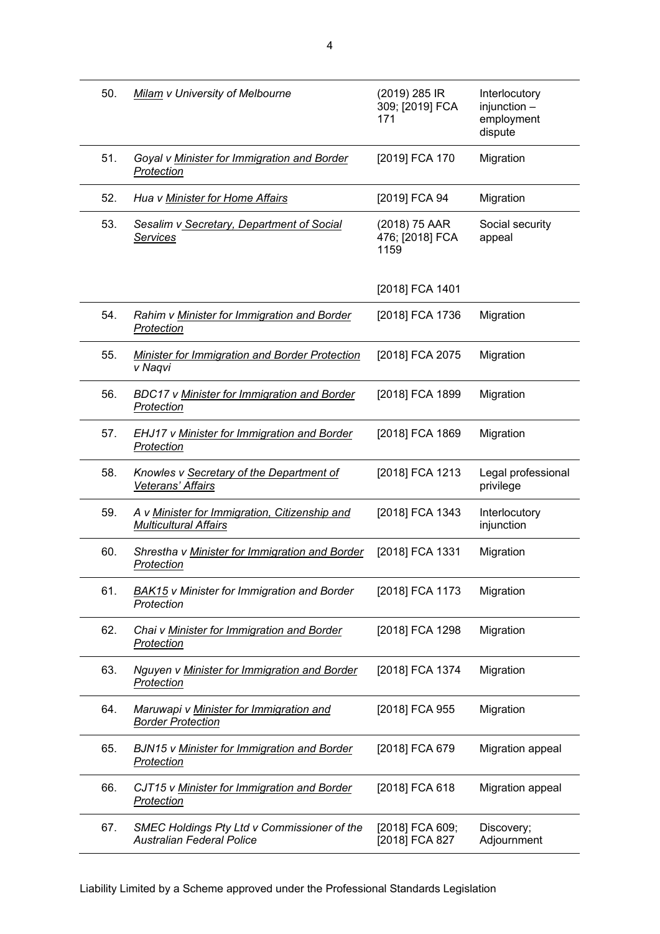| 50. | Milam v University of Melbourne                                                        | (2019) 285 IR<br>309; [2019] FCA<br>171  | Interlocutory<br>$injunction -$<br>employment<br>dispute |
|-----|----------------------------------------------------------------------------------------|------------------------------------------|----------------------------------------------------------|
| 51. | Goyal v Minister for Immigration and Border<br>Protection                              | [2019] FCA 170                           | Migration                                                |
| 52. | Hua v Minister for Home Affairs                                                        | [2019] FCA 94                            | Migration                                                |
| 53. | Sesalim v Secretary, Department of Social<br><b>Services</b>                           | (2018) 75 AAR<br>476; [2018] FCA<br>1159 | Social security<br>appeal                                |
|     |                                                                                        | [2018] FCA 1401                          |                                                          |
| 54. | Rahim v Minister for Immigration and Border<br>Protection                              | [2018] FCA 1736                          | Migration                                                |
| 55. | <b>Minister for Immigration and Border Protection</b><br>v Naqvi                       | [2018] FCA 2075                          | Migration                                                |
| 56. | <b>BDC17 v Minister for Immigration and Border</b><br>Protection                       | [2018] FCA 1899                          | Migration                                                |
| 57. | <b>EHJ17 v Minister for Immigration and Border</b><br>Protection                       | [2018] FCA 1869                          | Migration                                                |
| 58. | Knowles v Secretary of the Department of<br>Veterans' Affairs                          | [2018] FCA 1213                          | Legal professional<br>privilege                          |
| 59. | A v Minister for Immigration, Citizenship and<br><b>Multicultural Affairs</b>          | [2018] FCA 1343                          | Interlocutory<br>injunction                              |
| 60. | Shrestha v Minister for Immigration and Border<br>Protection                           | [2018] FCA 1331                          | Migration                                                |
| 61. | <b>BAK15</b> v Minister for Immigration and Border<br>Protection                       | [2018] FCA 1173                          | Migration                                                |
| 62. | Chai v Minister for Immigration and Border<br>Protection                               | [2018] FCA 1298                          | Migration                                                |
| 63. | Nguyen v Minister for Immigration and Border<br>Protection                             | [2018] FCA 1374                          | Migration                                                |
| 64. | Maruwapi v Minister for Immigration and<br><b>Border Protection</b>                    | [2018] FCA 955                           | Migration                                                |
| 65. | <b>BJN15 v Minister for Immigration and Border</b><br><b>Protection</b>                | [2018] FCA 679                           | Migration appeal                                         |
| 66. | CJT15 v Minister for Immigration and Border<br><b>Protection</b>                       | [2018] FCA 618                           | Migration appeal                                         |
| 67. | <b>SMEC Holdings Pty Ltd v Commissioner of the</b><br><b>Australian Federal Police</b> | [2018] FCA 609;<br>[2018] FCA 827        | Discovery;<br>Adjournment                                |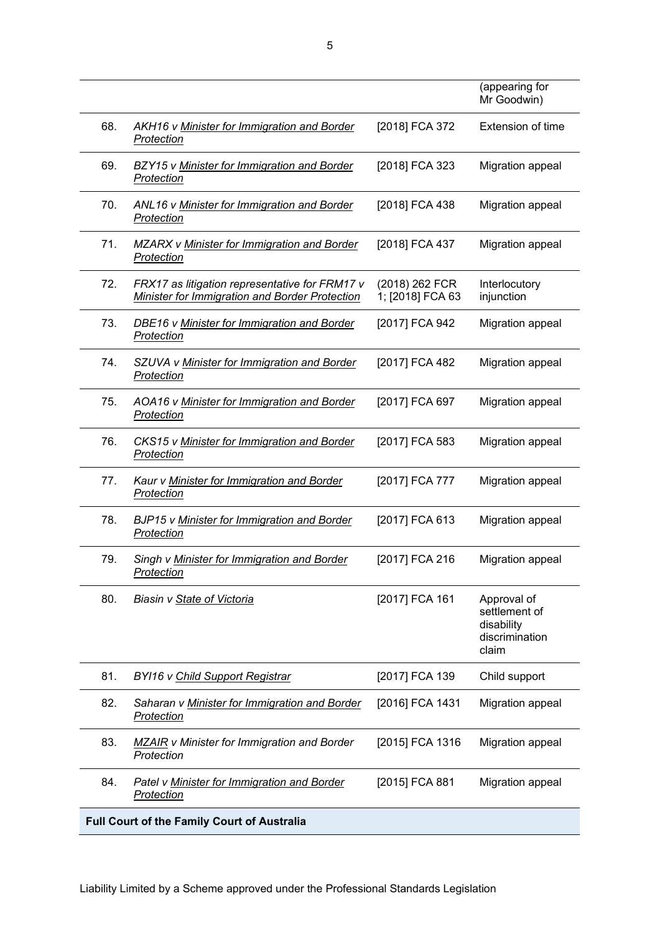|     |                                                                                                         |                                    | (appearing for<br>Mr Goodwin)                                         |
|-----|---------------------------------------------------------------------------------------------------------|------------------------------------|-----------------------------------------------------------------------|
| 68. | AKH16 v Minister for Immigration and Border<br>Protection                                               | [2018] FCA 372                     | Extension of time                                                     |
| 69. | BZY15 v Minister for Immigration and Border<br><b>Protection</b>                                        | [2018] FCA 323                     | Migration appeal                                                      |
| 70. | ANL16 v Minister for Immigration and Border<br>Protection                                               | [2018] FCA 438                     | Migration appeal                                                      |
| 71. | <b>MZARX v Minister for Immigration and Border</b><br>Protection                                        | [2018] FCA 437                     | Migration appeal                                                      |
| 72. | FRX17 as litigation representative for FRM17 v<br><b>Minister for Immigration and Border Protection</b> | (2018) 262 FCR<br>1; [2018] FCA 63 | Interlocutory<br>injunction                                           |
| 73. | DBE16 v Minister for Immigration and Border<br>Protection                                               | [2017] FCA 942                     | Migration appeal                                                      |
| 74. | SZUVA v Minister for Immigration and Border<br>Protection                                               | [2017] FCA 482                     | Migration appeal                                                      |
| 75. | AOA16 v Minister for Immigration and Border<br>Protection                                               | [2017] FCA 697                     | Migration appeal                                                      |
| 76. | CKS15 v Minister for Immigration and Border<br>Protection                                               | [2017] FCA 583                     | Migration appeal                                                      |
| 77. | Kaur v Minister for Immigration and Border<br>Protection                                                | [2017] FCA 777                     | Migration appeal                                                      |
| 78. | <b>BJP15 v Minister for Immigration and Border</b><br>Protection                                        | [2017] FCA 613                     | Migration appeal                                                      |
| 79. | Singh v Minister for Immigration and Border<br>Protection                                               | [2017] FCA 216                     | Migration appeal                                                      |
| 80. | Biasin v State of Victoria                                                                              | [2017] FCA 161                     | Approval of<br>settlement of<br>disability<br>discrimination<br>claim |
| 81. | <b>BYI16 v Child Support Registrar</b>                                                                  | [2017] FCA 139                     | Child support                                                         |
| 82. | Saharan v Minister for Immigration and Border<br>Protection                                             | [2016] FCA 1431                    | Migration appeal                                                      |
| 83. | <b>MZAIR</b> v Minister for Immigration and Border<br>Protection                                        | [2015] FCA 1316                    | Migration appeal                                                      |
| 84. | Patel v Minister for Immigration and Border<br>Protection                                               | [2015] FCA 881                     | Migration appeal                                                      |
|     | <b>Full Court of the Family Court of Australia</b>                                                      |                                    |                                                                       |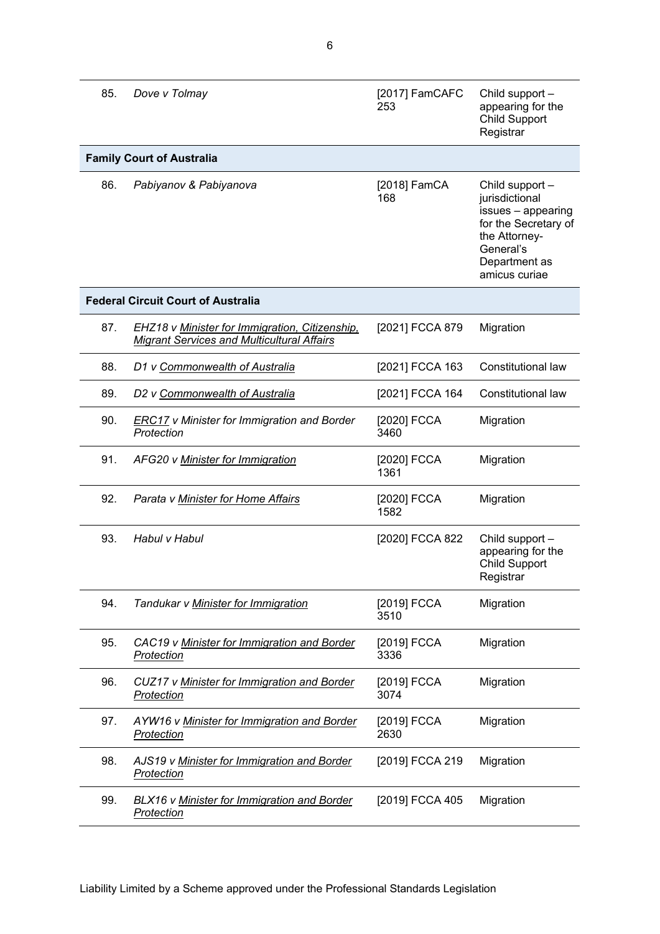| 85. | Dove v Tolmay                                                                                       | [2017] FamCAFC<br>253 | Child support -<br>appearing for the<br><b>Child Support</b><br>Registrar                                                                       |
|-----|-----------------------------------------------------------------------------------------------------|-----------------------|-------------------------------------------------------------------------------------------------------------------------------------------------|
|     | <b>Family Court of Australia</b>                                                                    |                       |                                                                                                                                                 |
| 86. | Pabiyanov & Pabiyanova                                                                              | [2018] FamCA<br>168   | Child support -<br>jurisdictional<br>issues - appearing<br>for the Secretary of<br>the Attorney-<br>General's<br>Department as<br>amicus curiae |
|     | <b>Federal Circuit Court of Australia</b>                                                           |                       |                                                                                                                                                 |
| 87. | EHZ18 v Minister for Immigration, Citizenship,<br><b>Migrant Services and Multicultural Affairs</b> | [2021] FCCA 879       | Migration                                                                                                                                       |
| 88. | D1 v Commonwealth of Australia                                                                      | [2021] FCCA 163       | Constitutional law                                                                                                                              |
| 89. | D2 v Commonwealth of Australia                                                                      | [2021] FCCA 164       | Constitutional law                                                                                                                              |
| 90. | <b>ERC17</b> v Minister for Immigration and Border<br>Protection                                    | [2020] FCCA<br>3460   | Migration                                                                                                                                       |
| 91. | AFG20 v Minister for Immigration                                                                    | [2020] FCCA<br>1361   | Migration                                                                                                                                       |
| 92. | Parata v Minister for Home Affairs                                                                  | [2020] FCCA<br>1582   | Migration                                                                                                                                       |
| 93. | Habul v Habul                                                                                       | [2020] FCCA 822       | Child support -<br>appearing for the<br><b>Child Support</b><br>Registrar                                                                       |
| 94. | Tandukar v Minister for Immigration                                                                 | [2019] FCCA<br>3510   | Migration                                                                                                                                       |
| 95. | CAC19 v Minister for Immigration and Border<br><b>Protection</b>                                    | [2019] FCCA<br>3336   | Migration                                                                                                                                       |
| 96. | CUZ17 v Minister for Immigration and Border<br><b>Protection</b>                                    | [2019] FCCA<br>3074   | Migration                                                                                                                                       |
| 97. | AYW16 v Minister for Immigration and Border<br>Protection                                           | [2019] FCCA<br>2630   | Migration                                                                                                                                       |
| 98. | AJS19 v Minister for Immigration and Border<br><b>Protection</b>                                    | [2019] FCCA 219       | Migration                                                                                                                                       |
| 99. | BLX16 v Minister for Immigration and Border<br><b>Protection</b>                                    | [2019] FCCA 405       | Migration                                                                                                                                       |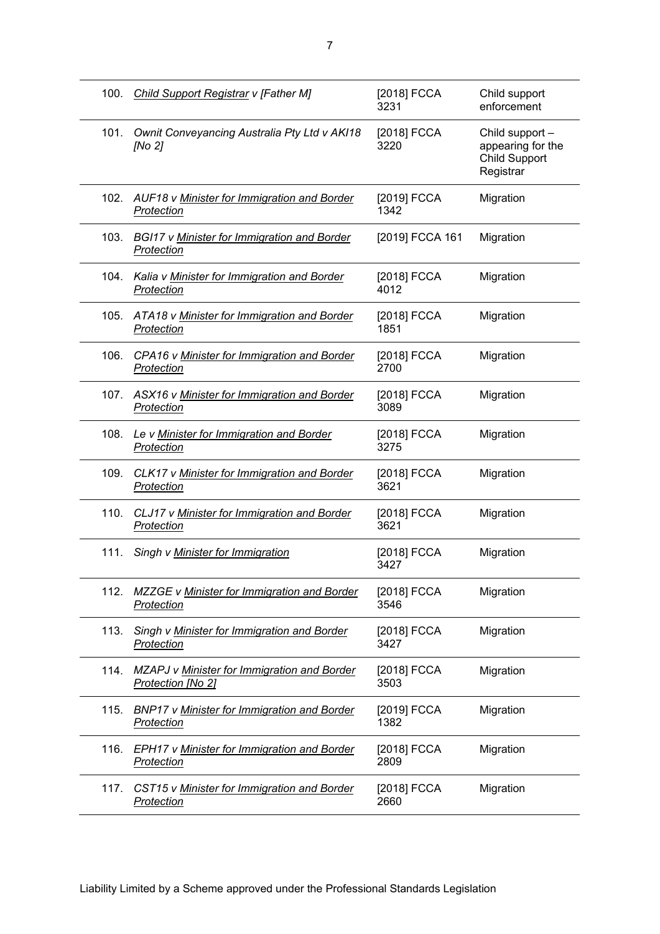| 100. | Child Support Registrar v [Father M]                                    | [2018] FCCA<br>3231 | Child support<br>enforcement                                              |
|------|-------------------------------------------------------------------------|---------------------|---------------------------------------------------------------------------|
| 101. | Ownit Conveyancing Australia Pty Ltd v AKI18<br>[No 2]                  | [2018] FCCA<br>3220 | Child support -<br>appearing for the<br><b>Child Support</b><br>Registrar |
| 102. | AUF18 v Minister for Immigration and Border<br>Protection               | [2019] FCCA<br>1342 | Migration                                                                 |
| 103. | <b>BGI17 v Minister for Immigration and Border</b><br><b>Protection</b> | [2019] FCCA 161     | Migration                                                                 |
| 104. | Kalia v Minister for Immigration and Border<br>Protection               | [2018] FCCA<br>4012 | Migration                                                                 |
| 105. | ATA18 v Minister for Immigration and Border<br>Protection               | [2018] FCCA<br>1851 | Migration                                                                 |
| 106. | CPA16 v Minister for Immigration and Border<br>Protection               | [2018] FCCA<br>2700 | Migration                                                                 |
| 107. | ASX16 v Minister for Immigration and Border<br>Protection               | [2018] FCCA<br>3089 | Migration                                                                 |
| 108. | Le v Minister for Immigration and Border<br>Protection                  | [2018] FCCA<br>3275 | Migration                                                                 |
| 109. | CLK17 v Minister for Immigration and Border<br>Protection               | [2018] FCCA<br>3621 | Migration                                                                 |
| 110. | CLJ17 v Minister for Immigration and Border<br><b>Protection</b>        | [2018] FCCA<br>3621 | Migration                                                                 |
| 111. | Singh v Minister for Immigration                                        | [2018] FCCA<br>3427 | Migration                                                                 |
| 112. | MZZGE v Minister for Immigration and Border<br>Protection               | [2018] FCCA<br>3546 | Migration                                                                 |
| 113. | Singh v Minister for Immigration and Border<br>Protection               | [2018] FCCA<br>3427 | Migration                                                                 |
| 114. | MZAPJ v Minister for Immigration and Border<br>Protection [No 2]        | [2018] FCCA<br>3503 | Migration                                                                 |
| 115. | BNP17 v Minister for Immigration and Border<br>Protection               | [2019] FCCA<br>1382 | Migration                                                                 |
| 116. | EPH17 v Minister for Immigration and Border<br><b>Protection</b>        | [2018] FCCA<br>2809 | Migration                                                                 |
| 117. | CST15 v Minister for Immigration and Border<br>Protection               | [2018] FCCA<br>2660 | Migration                                                                 |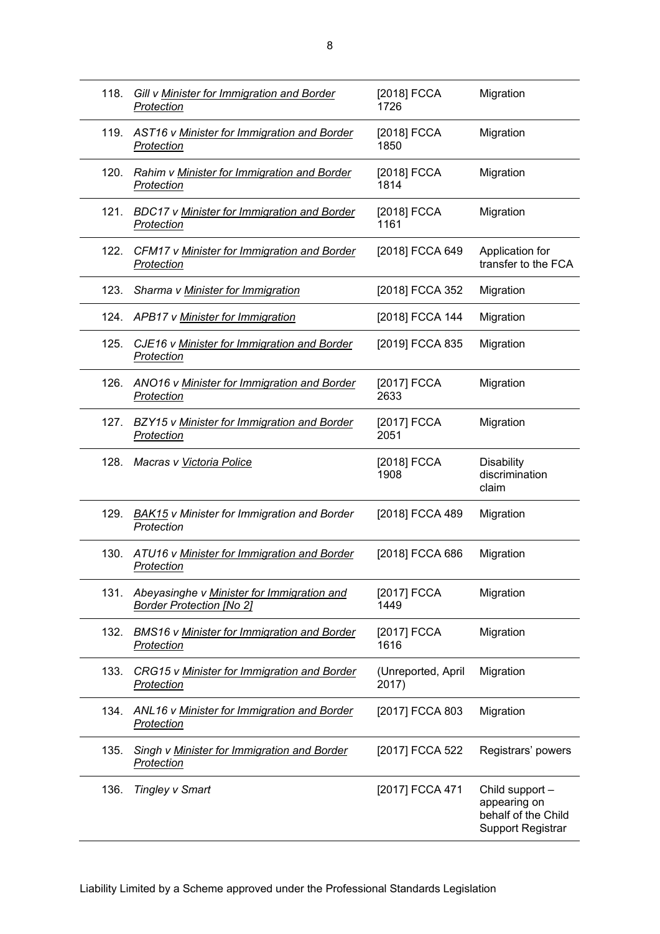| 118. | Gill v Minister for Immigration and Border<br>Protection                      | [2018] FCCA<br>1726         | Migration                                                                          |
|------|-------------------------------------------------------------------------------|-----------------------------|------------------------------------------------------------------------------------|
| 119. | AST16 v Minister for Immigration and Border<br>Protection                     | [2018] FCCA<br>1850         | Migration                                                                          |
| 120. | Rahim v Minister for Immigration and Border<br><b>Protection</b>              | [2018] FCCA<br>1814         | Migration                                                                          |
| 121. | <b>BDC17 v Minister for Immigration and Border</b><br>Protection              | [2018] FCCA<br>1161         | Migration                                                                          |
| 122. | CFM17 v Minister for Immigration and Border<br>Protection                     | [2018] FCCA 649             | Application for<br>transfer to the FCA                                             |
| 123. | Sharma v Minister for Immigration                                             | [2018] FCCA 352             | Migration                                                                          |
|      | 124. APB17 v Minister for Immigration                                         | [2018] FCCA 144             | Migration                                                                          |
| 125. | CJE16 v Minister for Immigration and Border<br>Protection                     | [2019] FCCA 835             | Migration                                                                          |
| 126. | ANO16 v Minister for Immigration and Border<br>Protection                     | [2017] FCCA<br>2633         | Migration                                                                          |
| 127. | BZY15 v Minister for Immigration and Border<br>Protection                     | [2017] FCCA<br>2051         | Migration                                                                          |
| 128. | Macras v Victoria Police                                                      | [2018] FCCA<br>1908         | <b>Disability</b><br>discrimination<br>claim                                       |
| 129. | <b>BAK15</b> v Minister for Immigration and Border<br>Protection              | [2018] FCCA 489             | Migration                                                                          |
| 130. | ATU16 v Minister for Immigration and Border<br>Protection                     | [2018] FCCA 686             | Migration                                                                          |
| 131. | Abeyasinghe v Minister for Immigration and<br><b>Border Protection [No 2]</b> | [2017] FCCA<br>1449         | Migration                                                                          |
| 132. | BMS16 v Minister for Immigration and Border<br>Protection                     | [2017] FCCA<br>1616         | Migration                                                                          |
| 133. | CRG15 v Minister for Immigration and Border<br>Protection                     | (Unreported, April<br>2017) | Migration                                                                          |
| 134. | ANL16 v Minister for Immigration and Border<br><b>Protection</b>              | [2017] FCCA 803             | Migration                                                                          |
| 135. | Singh v Minister for Immigration and Border<br>Protection                     | [2017] FCCA 522             | Registrars' powers                                                                 |
| 136. | <b>Tingley v Smart</b>                                                        | [2017] FCCA 471             | Child support -<br>appearing on<br>behalf of the Child<br><b>Support Registrar</b> |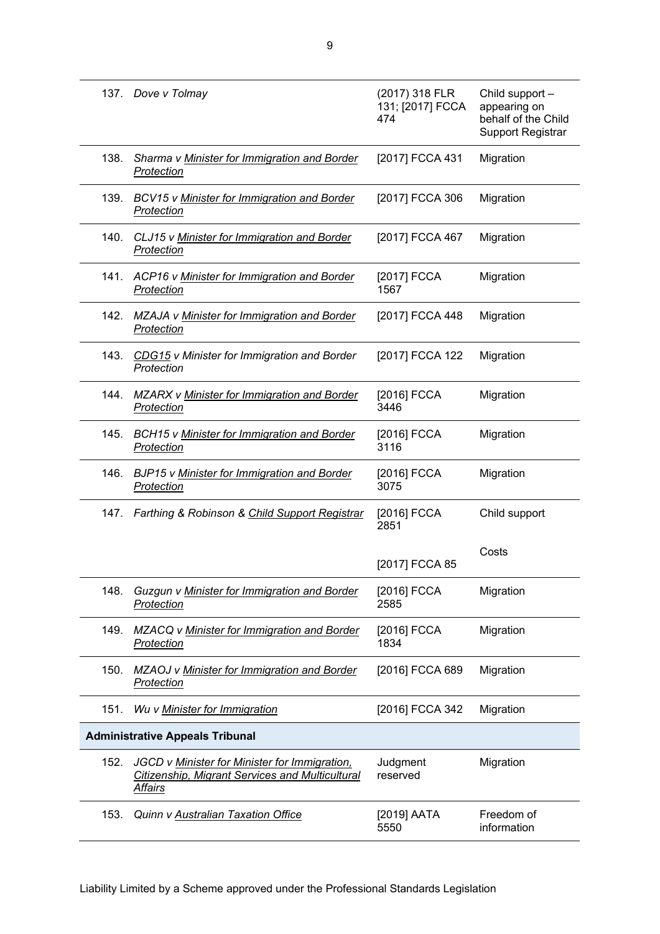|      | 137. Dove v Tolmay                                                                                                 | (2017) 318 FLR<br>131; [2017] FCCA<br>474 | Child support -<br>appearing on<br>behalf of the Child<br><b>Support Registrar</b> |
|------|--------------------------------------------------------------------------------------------------------------------|-------------------------------------------|------------------------------------------------------------------------------------|
| 138. | Sharma v Minister for Immigration and Border<br>Protection                                                         | [2017] FCCA 431                           | Migration                                                                          |
| 139. | <b>BCV15 v Minister for Immigration and Border</b><br>Protection                                                   | [2017] FCCA 306                           | Migration                                                                          |
| 140. | CLJ15 v Minister for Immigration and Border<br>Protection                                                          | [2017] FCCA 467                           | Migration                                                                          |
| 141. | ACP16 v Minister for Immigration and Border<br>Protection                                                          | [2017] FCCA<br>1567                       | Migration                                                                          |
| 142. | MZAJA v Minister for Immigration and Border<br>Protection                                                          | [2017] FCCA 448                           | Migration                                                                          |
| 143. | CDG15 v Minister for Immigration and Border<br>Protection                                                          | [2017] FCCA 122                           | Migration                                                                          |
| 144. | <b>MZARX v Minister for Immigration and Border</b><br><b>Protection</b>                                            | [2016] FCCA<br>3446                       | Migration                                                                          |
| 145. | <b>BCH15 v Minister for Immigration and Border</b><br>Protection                                                   | [2016] FCCA<br>3116                       | Migration                                                                          |
| 146. | <b>BJP15 v Minister for Immigration and Border</b><br>Protection                                                   | [2016] FCCA<br>3075                       | Migration                                                                          |
| 147. | Farthing & Robinson & Child Support Registrar                                                                      | [2016] FCCA<br>2851                       | Child support                                                                      |
|      |                                                                                                                    | [2017] FCCA 85                            | Costs                                                                              |
| 148. | Guzgun v Minister for Immigration and Border<br>Protection                                                         | [2016] FCCA<br>2585                       | Migration                                                                          |
| 149. | MZACQ v Minister for Immigration and Border<br>Protection                                                          | [2016] FCCA<br>1834                       | Migration                                                                          |
| 150. | MZAOJ v Minister for Immigration and Border<br>Protection                                                          | [2016] FCCA 689                           | Migration                                                                          |
| 151. | Wu v Minister for Immigration                                                                                      | [2016] FCCA 342                           | Migration                                                                          |
|      | <b>Administrative Appeals Tribunal</b>                                                                             |                                           |                                                                                    |
| 152. | JGCD v Minister for Minister for Immigration,<br><b>Citizenship, Migrant Services and Multicultural</b><br>Affairs | Judgment<br>reserved                      | Migration                                                                          |
| 153. | Quinn v Australian Taxation Office                                                                                 | [2019] AATA<br>5550                       | Freedom of<br>information                                                          |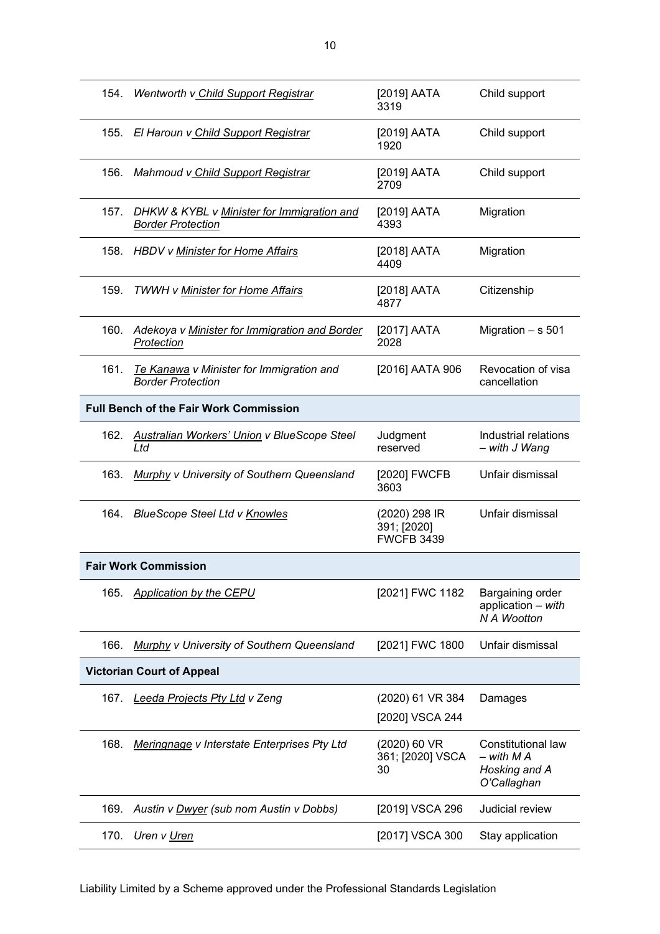| 154. | Wentworth v Child Support Registrar                                    | [2019] AATA<br>3319                               | Child support                                                    |
|------|------------------------------------------------------------------------|---------------------------------------------------|------------------------------------------------------------------|
| 155. | El Haroun v Child Support Registrar                                    | [2019] AATA<br>1920                               | Child support                                                    |
| 156. | Mahmoud v Child Support Registrar                                      | [2019] AATA<br>2709                               | Child support                                                    |
| 157. | DHKW & KYBL v Minister for Immigration and<br><b>Border Protection</b> | [2019] AATA<br>4393                               | Migration                                                        |
| 158. | <b>HBDV v Minister for Home Affairs</b>                                | [2018] AATA<br>4409                               | Migration                                                        |
| 159. | <b>TWWH v Minister for Home Affairs</b>                                | [2018] AATA<br>4877                               | Citizenship                                                      |
| 160. | Adekoya v Minister for Immigration and Border<br>Protection            | [2017] AATA<br>2028                               | Migration - s 501                                                |
| 161. | Te Kanawa v Minister for Immigration and<br><b>Border Protection</b>   | [2016] AATA 906                                   | Revocation of visa<br>cancellation                               |
|      | <b>Full Bench of the Fair Work Commission</b>                          |                                                   |                                                                  |
| 162. | <b>Australian Workers' Union v BlueScope Steel</b><br>Ltd              | Judgment<br>reserved                              | Industrial relations<br>- with J Wang                            |
| 163. | <b>Murphy v University of Southern Queensland</b>                      | [2020] FWCFB<br>3603                              | Unfair dismissal                                                 |
| 164. | <b>BlueScope Steel Ltd v Knowles</b>                                   | (2020) 298 IR<br>391; [2020]<br><b>FWCFB 3439</b> | Unfair dismissal                                                 |
|      | <b>Fair Work Commission</b>                                            |                                                   |                                                                  |
| 165. | <b>Application by the CEPU</b>                                         | [2021] FWC 1182                                   | Bargaining order<br>application - with<br><b>N A Wootton</b>     |
| 166. | Murphy v University of Southern Queensland                             | [2021] FWC 1800                                   | Unfair dismissal                                                 |
|      | <b>Victorian Court of Appeal</b>                                       |                                                   |                                                                  |
| 167. | <u>Leeda Projects Pty Ltd</u> v Zeng                                   | (2020) 61 VR 384                                  | Damages                                                          |
|      |                                                                        | [2020] VSCA 244                                   |                                                                  |
| 168. | <b>Meringnage v Interstate Enterprises Pty Ltd</b>                     | (2020) 60 VR<br>361; [2020] VSCA<br>30            | Constitutional law<br>- with M A<br>Hosking and A<br>O'Callaghan |
| 169. | Austin v Dwyer (sub nom Austin v Dobbs)                                | [2019] VSCA 296                                   | Judicial review                                                  |
| 170. | Uren v Uren                                                            | [2017] VSCA 300                                   | Stay application                                                 |

Liability Limited by a Scheme approved under the Professional Standards Legislation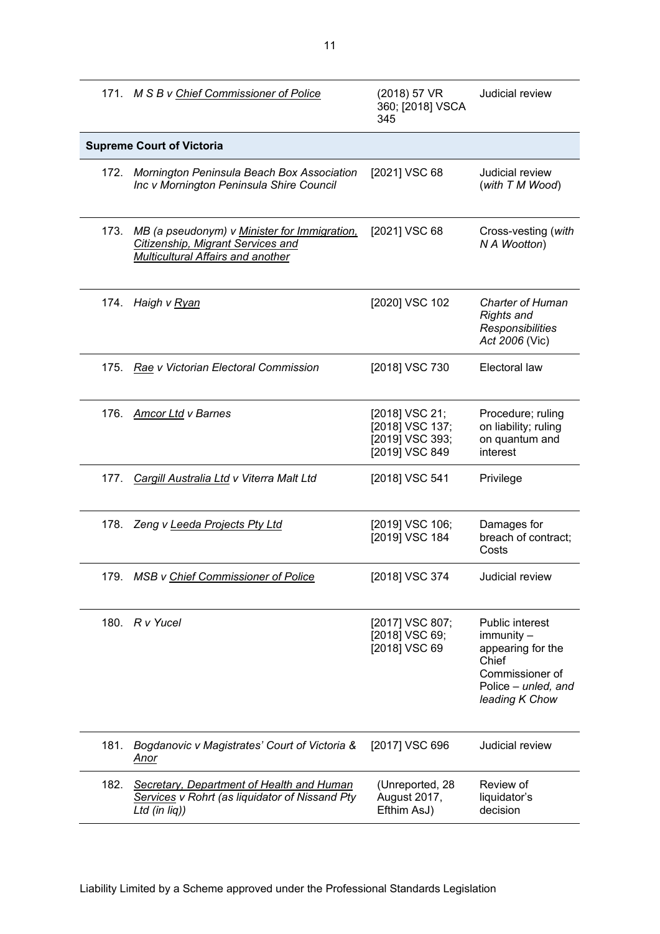|      | 171. M S B v Chief Commissioner of Police                                                                              | (2018) 57 VR<br>360; [2018] VSCA<br>345                                | Judicial review                                                                                                                |
|------|------------------------------------------------------------------------------------------------------------------------|------------------------------------------------------------------------|--------------------------------------------------------------------------------------------------------------------------------|
|      | <b>Supreme Court of Victoria</b>                                                                                       |                                                                        |                                                                                                                                |
|      | 172. Mornington Peninsula Beach Box Association<br>Inc v Mornington Peninsula Shire Council                            | [2021] VSC 68                                                          | Judicial review<br>(with T M Wood)                                                                                             |
| 173. | MB (a pseudonym) v Minister for Immigration,<br>Citizenship, Migrant Services and<br>Multicultural Affairs and another | [2021] VSC 68                                                          | Cross-vesting (with<br>N A Wootton)                                                                                            |
|      | 174. Haigh v Ryan                                                                                                      | [2020] VSC 102                                                         | <b>Charter of Human</b><br><b>Rights and</b><br>Responsibilities<br>Act 2006 (Vic)                                             |
|      | 175. Rae v Victorian Electoral Commission                                                                              | [2018] VSC 730                                                         | Electoral law                                                                                                                  |
| 176. | <b>Amcor Ltd v Barnes</b>                                                                                              | [2018] VSC 21;<br>[2018] VSC 137;<br>[2019] VSC 393;<br>[2019] VSC 849 | Procedure; ruling<br>on liability; ruling<br>on quantum and<br>interest                                                        |
|      | 177. Cargill Australia Ltd v Viterra Malt Ltd                                                                          | [2018] VSC 541                                                         | Privilege                                                                                                                      |
|      | 178. Zeng v Leeda Projects Pty Ltd                                                                                     | [2019] VSC 106;<br>[2019] VSC 184                                      | Damages for<br>breach of contract;<br>Costs                                                                                    |
|      | 179. MSB v Chief Commissioner of Police                                                                                | [2018] VSC 374                                                         | Judicial review                                                                                                                |
|      | 180. R v Yucel                                                                                                         | [2017] VSC 807;<br>[2018] VSC 69;<br>[2018] VSC 69                     | <b>Public interest</b><br>immunity -<br>appearing for the<br>Chief<br>Commissioner of<br>Police - unled, and<br>leading K Chow |
| 181. | Bogdanovic v Magistrates' Court of Victoria &<br>Anor                                                                  | [2017] VSC 696                                                         | Judicial review                                                                                                                |
| 182. | <b>Secretary, Department of Health and Human</b><br>Services v Rohrt (as liquidator of Nissand Pty<br>Ltd (in liq))    | (Unreported, 28<br>August 2017,<br>Efthim AsJ)                         | Review of<br>liquidator's<br>decision                                                                                          |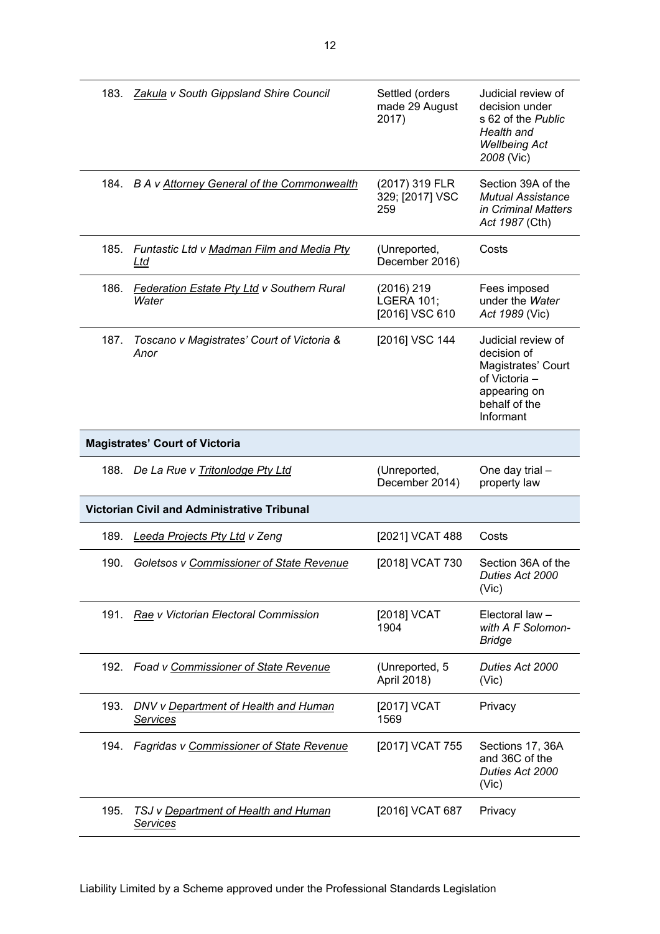|      | 183. Zakula v South Gippsland Shire Council                | Settled (orders<br>made 29 August<br>2017)        | Judicial review of<br>decision under<br>s 62 of the Public<br>Health and<br><b>Wellbeing Act</b><br>2008 (Vic)         |
|------|------------------------------------------------------------|---------------------------------------------------|------------------------------------------------------------------------------------------------------------------------|
|      | 184. B A v Attorney General of the Commonwealth            | (2017) 319 FLR<br>329; [2017] VSC<br>259          | Section 39A of the<br><b>Mutual Assistance</b><br>in Criminal Matters<br>Act 1987 (Cth)                                |
| 185. | Funtastic Ltd v Madman Film and Media Pty<br><u>Ltd</u>    | (Unreported,<br>December 2016)                    | Costs                                                                                                                  |
| 186. | <b>Federation Estate Pty Ltd v Southern Rural</b><br>Water | (2016) 219<br><b>LGERA 101;</b><br>[2016] VSC 610 | Fees imposed<br>under the Water<br>Act 1989 (Vic)                                                                      |
| 187. | Toscano v Magistrates' Court of Victoria &<br>Anor         | [2016] VSC 144                                    | Judicial review of<br>decision of<br>Magistrates' Court<br>of Victoria -<br>appearing on<br>behalf of the<br>Informant |
|      | <b>Magistrates' Court of Victoria</b>                      |                                                   |                                                                                                                        |
|      |                                                            |                                                   |                                                                                                                        |
|      | 188. De La Rue v Tritonlodge Pty Ltd                       | (Unreported,<br>December 2014)                    | One day trial -<br>property law                                                                                        |
|      | <b>Victorian Civil and Administrative Tribunal</b>         |                                                   |                                                                                                                        |
| 189. | <b>Leeda Projects Pty Ltd v Zeng</b>                       | [2021] VCAT 488                                   | Costs                                                                                                                  |
| 190. | Goletsos v Commissioner of State Revenue                   | [2018] VCAT 730                                   | Section 36A of the<br>Duties Act 2000<br>(Vic)                                                                         |
|      | 191. Rae v Victorian Electoral Commission                  | [2018] VCAT<br>1904                               | Electoral law -<br>with A F Solomon-<br><b>Bridge</b>                                                                  |
|      | 192. Foad v Commissioner of State Revenue                  | (Unreported, 5<br>April 2018)                     | Duties Act 2000<br>(Vic)                                                                                               |
| 193. | DNV v Department of Health and Human<br><b>Services</b>    | [2017] VCAT<br>1569                               | Privacy                                                                                                                |
| 194. | <b>Fagridas v Commissioner of State Revenue</b>            | [2017] VCAT 755                                   | Sections 17, 36A<br>and 36C of the<br>Duties Act 2000<br>(Vic)                                                         |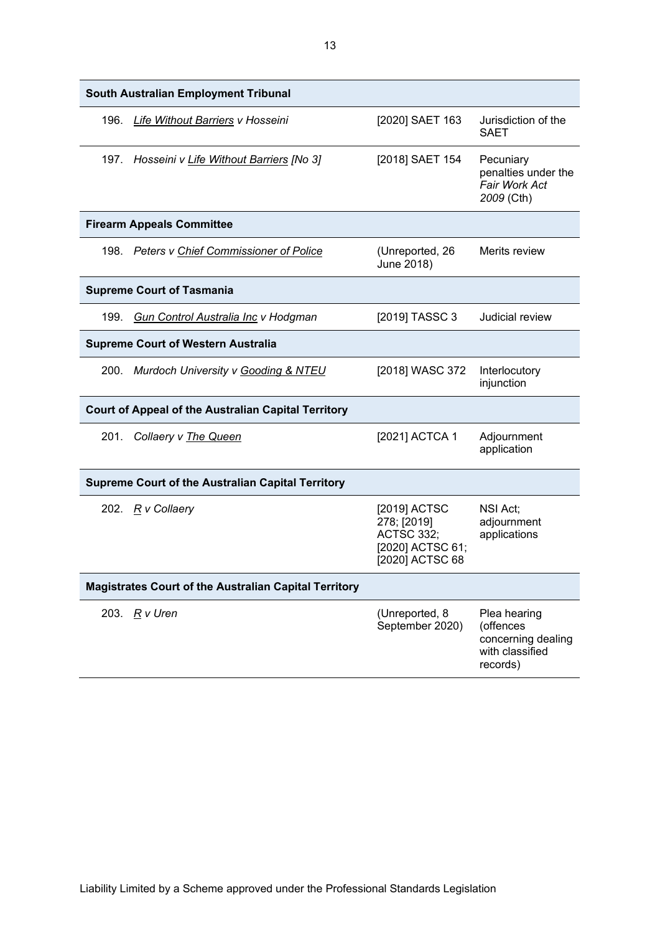|      | South Australian Employment Tribunal                         |                                                                                         |                                                                                |
|------|--------------------------------------------------------------|-----------------------------------------------------------------------------------------|--------------------------------------------------------------------------------|
| 196. | Life Without Barriers v Hosseini                             | [2020] SAET 163                                                                         | Jurisdiction of the<br><b>SAET</b>                                             |
|      | 197. Hosseini v Life Without Barriers [No 3]                 | [2018] SAET 154                                                                         | Pecuniary<br>penalties under the<br>Fair Work Act<br>2009 (Cth)                |
|      | <b>Firearm Appeals Committee</b>                             |                                                                                         |                                                                                |
|      | 198. Peters v Chief Commissioner of Police                   | (Unreported, 26<br>June 2018)                                                           | Merits review                                                                  |
|      | <b>Supreme Court of Tasmania</b>                             |                                                                                         |                                                                                |
| 199. | Gun Control Australia Inc v Hodgman                          | [2019] TASSC 3                                                                          | Judicial review                                                                |
|      | <b>Supreme Court of Western Australia</b>                    |                                                                                         |                                                                                |
|      | 200. Murdoch University v Gooding & NTEU                     | [2018] WASC 372                                                                         | Interlocutory<br>injunction                                                    |
|      | <b>Court of Appeal of the Australian Capital Territory</b>   |                                                                                         |                                                                                |
| 201. | Collaery v The Queen                                         | [2021] ACTCA 1                                                                          | Adjournment<br>application                                                     |
|      | <b>Supreme Court of the Australian Capital Territory</b>     |                                                                                         |                                                                                |
|      | 202. R v Collaery                                            | [2019] ACTSC<br>278; [2019]<br><b>ACTSC 332;</b><br>[2020] ACTSC 61;<br>[2020] ACTSC 68 | NSI Act;<br>adjournment<br>applications                                        |
|      | <b>Magistrates Court of the Australian Capital Territory</b> |                                                                                         |                                                                                |
|      | 203. R v Uren                                                | (Unreported, 8<br>September 2020)                                                       | Plea hearing<br>(offences<br>concerning dealing<br>with classified<br>records) |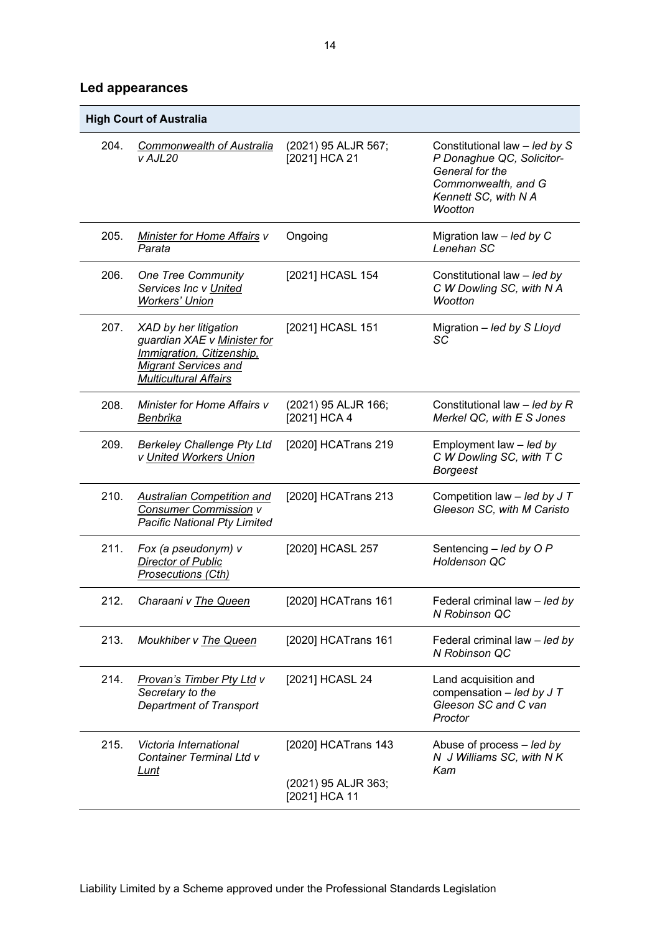### **Led appearances**

|      | <b>High Court of Australia</b>                                                                                                                   |                                                             |                                                                                                                                         |
|------|--------------------------------------------------------------------------------------------------------------------------------------------------|-------------------------------------------------------------|-----------------------------------------------------------------------------------------------------------------------------------------|
| 204. | <b>Commonwealth of Australia</b><br>v AJL20                                                                                                      | (2021) 95 ALJR 567;<br>[2021] HCA 21                        | Constitutional law - led by S<br>P Donaghue QC, Solicitor-<br>General for the<br>Commonwealth, and G<br>Kennett SC, with N A<br>Wootton |
| 205. | <b>Minister for Home Affairs v</b><br>Parata                                                                                                     | Ongoing                                                     | Migration law $-$ led by C<br>Lenehan SC                                                                                                |
| 206. | <b>One Tree Community</b><br>Services Inc v United<br><b>Workers' Union</b>                                                                      | [2021] HCASL 154                                            | Constitutional law - led by<br>C W Dowling SC, with N A<br>Wootton                                                                      |
| 207. | XAD by her litigation<br>guardian XAE v Minister for<br>Immigration, Citizenship,<br><b>Migrant Services and</b><br><b>Multicultural Affairs</b> | [2021] HCASL 151                                            | Migration - led by S Lloyd<br>SC                                                                                                        |
| 208. | Minister for Home Affairs v<br>Benbrika                                                                                                          | (2021) 95 ALJR 166;<br>[2021] HCA 4                         | Constitutional law $-$ led by R<br>Merkel QC, with E S Jones                                                                            |
| 209. | <b>Berkeley Challenge Pty Ltd</b><br>v United Workers Union                                                                                      | [2020] HCATrans 219                                         | Employment law - led by<br>C W Dowling SC, with T C<br><b>Borgeest</b>                                                                  |
| 210. | <b>Australian Competition and</b><br>Consumer Commission v<br><b>Pacific National Pty Limited</b>                                                | [2020] HCATrans 213                                         | Competition law $-$ led by J T<br>Gleeson SC, with M Caristo                                                                            |
| 211. | Fox (a pseudonym) v<br>Director of Public<br>Prosecutions (Cth)                                                                                  | [2020] HCASL 257                                            | Sentencing $-$ led by O P<br><b>Holdenson QC</b>                                                                                        |
| 212. | Charaani v The Queen                                                                                                                             | [2020] HCATrans 161                                         | Federal criminal law - led by<br>N Robinson QC                                                                                          |
| 213. | Moukhiber v The Queen                                                                                                                            | [2020] HCATrans 161                                         | Federal criminal law - led by<br>N Robinson QC                                                                                          |
| 214. | <b>Provan's Timber Pty Ltd v</b><br>Secretary to the<br><b>Department of Transport</b>                                                           | [2021] HCASL 24                                             | Land acquisition and<br>compensation $-$ led by J T<br>Gleeson SC and C van<br>Proctor                                                  |
| 215. | Victoria International<br><b>Container Terminal Ltd v</b><br><u>Lunt</u>                                                                         | [2020] HCATrans 143<br>(2021) 95 ALJR 363;<br>[2021] HCA 11 | Abuse of process - led by<br>N J Williams SC, with N K<br>Kam                                                                           |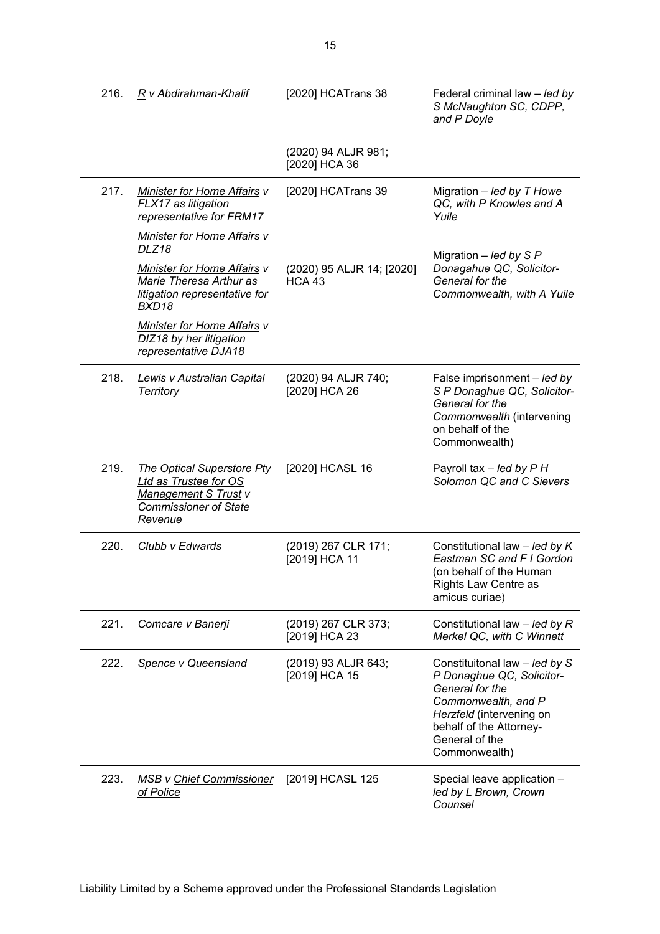| 216. | R v Abdirahman-Khalif                                                                                                         | [2020] HCATrans 38                         | Federal criminal law - led by<br>S McNaughton SC, CDPP,<br>and P Doyle                                                                                                                         |
|------|-------------------------------------------------------------------------------------------------------------------------------|--------------------------------------------|------------------------------------------------------------------------------------------------------------------------------------------------------------------------------------------------|
|      |                                                                                                                               | (2020) 94 ALJR 981;<br>[2020] HCA 36       |                                                                                                                                                                                                |
| 217. | <b>Minister for Home Affairs v</b><br>FLX17 as litigation<br>representative for FRM17                                         | [2020] HCATrans 39                         | Migration $-$ led by T Howe<br>QC, with P Knowles and A<br>Yuile                                                                                                                               |
|      | <b>Minister for Home Affairs v</b><br>DLZ18                                                                                   |                                            | Migration $-$ led by S P                                                                                                                                                                       |
|      | <b>Minister for Home Affairs v</b><br>Marie Theresa Arthur as<br>litigation representative for<br>BXD18                       | (2020) 95 ALJR 14; [2020]<br><b>HCA 43</b> | Donagahue QC, Solicitor-<br>General for the<br>Commonwealth, with A Yuile                                                                                                                      |
|      | <b>Minister for Home Affairs v</b><br>DIZ18 by her litigation<br>representative DJA18                                         |                                            |                                                                                                                                                                                                |
| 218. | Lewis v Australian Capital<br><b>Territory</b>                                                                                | (2020) 94 ALJR 740;<br>[2020] HCA 26       | False imprisonment - led by<br>S P Donaghue QC, Solicitor-<br>General for the<br>Commonwealth (intervening<br>on behalf of the<br>Commonwealth)                                                |
| 219. | <b>The Optical Superstore Pty</b><br>Ltd as Trustee for OS<br>Management S Trust v<br><b>Commissioner of State</b><br>Revenue | [2020] HCASL 16                            | Payroll tax - led by P H<br>Solomon QC and C Sievers                                                                                                                                           |
| 220. | Clubb v Edwards                                                                                                               | (2019) 267 CLR 171;<br>[2019] HCA 11       | Constitutional law $-$ led by K<br>Eastman SC and F I Gordon<br>(on behalf of the Human<br><b>Rights Law Centre as</b><br>amicus curiae)                                                       |
| 221. | Comcare v Banerji                                                                                                             | (2019) 267 CLR 373;<br>[2019] HCA 23       | Constitutional law - led by R<br>Merkel QC, with C Winnett                                                                                                                                     |
| 222. | Spence v Queensland                                                                                                           | (2019) 93 ALJR 643;<br>[2019] HCA 15       | Constituitonal law - led by S<br>P Donaghue QC, Solicitor-<br>General for the<br>Commonwealth, and P<br>Herzfeld (intervening on<br>behalf of the Attorney-<br>General of the<br>Commonwealth) |
| 223. | <b>MSB v Chief Commissioner</b><br>of Police                                                                                  | [2019] HCASL 125                           | Special leave application -<br>led by L Brown, Crown<br>Counsel                                                                                                                                |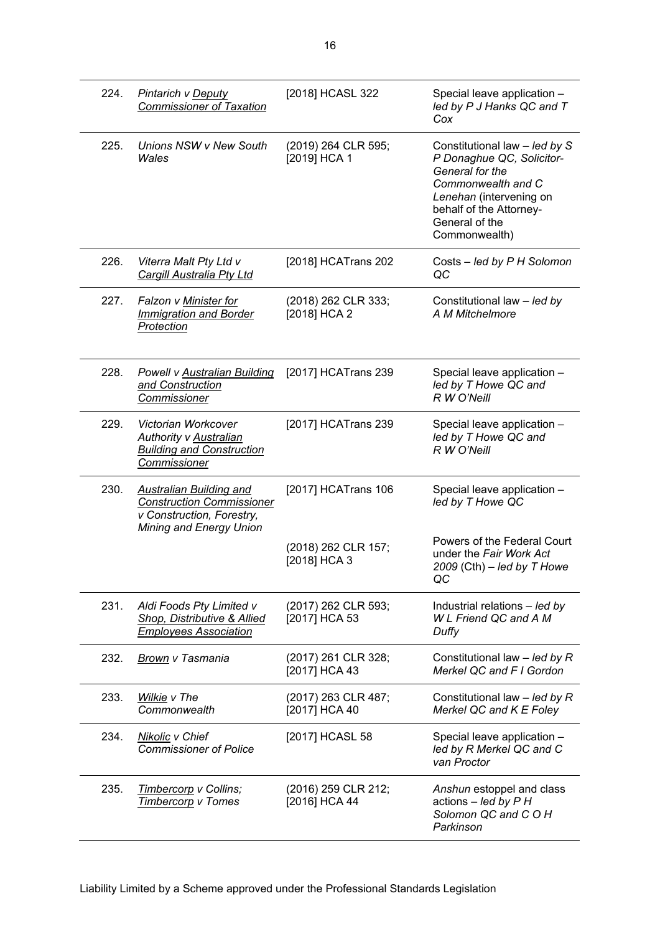| 224. | Pintarich v Deputy<br><b>Commissioner of Taxation</b>                                                                      | [2018] HCASL 322                     | Special leave application -<br>led by P J Hanks QC and T<br>Cox                                                                                                                              |
|------|----------------------------------------------------------------------------------------------------------------------------|--------------------------------------|----------------------------------------------------------------------------------------------------------------------------------------------------------------------------------------------|
| 225. | Unions NSW v New South<br>Wales                                                                                            | (2019) 264 CLR 595;<br>[2019] HCA 1  | Constitutional law - led by S<br>P Donaghue QC, Solicitor-<br>General for the<br>Commonwealth and C<br>Lenehan (intervening on<br>behalf of the Attorney-<br>General of the<br>Commonwealth) |
| 226. | Viterra Malt Pty Ltd v<br><b>Cargill Australia Pty Ltd</b>                                                                 | [2018] HCATrans 202                  | Costs - led by P H Solomon<br>QC                                                                                                                                                             |
| 227. | Falzon v Minister for<br><b>Immigration and Border</b><br>Protection                                                       | (2018) 262 CLR 333;<br>[2018] HCA 2  | Constitutional law - led by<br>A M Mitchelmore                                                                                                                                               |
| 228. | Powell v Australian Building<br>and Construction<br>Commissioner                                                           | [2017] HCATrans 239                  | Special leave application -<br>led by T Howe QC and<br>R W O'Neill                                                                                                                           |
| 229. | Victorian Workcover<br><b>Authority v Australian</b><br><b>Building and Construction</b><br>Commissioner                   | [2017] HCATrans 239                  | Special leave application -<br>led by T Howe QC and<br>R W O'Neill                                                                                                                           |
| 230. | <b>Australian Building and</b><br><b>Construction Commissioner</b><br>v Construction, Forestry,<br>Mining and Energy Union | [2017] HCATrans 106                  | Special leave application -<br>led by T Howe QC                                                                                                                                              |
|      |                                                                                                                            | (2018) 262 CLR 157;<br>[2018] HCA 3  | Powers of the Federal Court<br>under the Fair Work Act<br>2009 (Cth) $-$ led by T Howe<br>QC                                                                                                 |
| 231. | Aldi Foods Pty Limited v<br>Shop, Distributive & Allied<br><b>Employees Association</b>                                    | (2017) 262 CLR 593;<br>[2017] HCA 53 | Industrial relations - led by<br><b>WL Friend QC and A M</b><br>Duffy                                                                                                                        |
| 232. | Brown v Tasmania                                                                                                           | (2017) 261 CLR 328;<br>[2017] HCA 43 | Constitutional law $-$ led by R<br>Merkel QC and F I Gordon                                                                                                                                  |
| 233. | Wilkie v The<br>Commonwealth                                                                                               | (2017) 263 CLR 487;<br>[2017] HCA 40 | Constitutional law $-$ led by R<br>Merkel QC and K E Foley                                                                                                                                   |
| 234. | Nikolic v Chief<br><b>Commissioner of Police</b>                                                                           | [2017] HCASL 58                      | Special leave application -<br>led by R Merkel QC and C<br>van Proctor                                                                                                                       |
| 235. | Timbercorp v Collins;<br><b>Timbercorp v Tomes</b>                                                                         | (2016) 259 CLR 212;<br>[2016] HCA 44 | Anshun estoppel and class<br>actions $-$ led by $P H$<br>Solomon QC and COH<br>Parkinson                                                                                                     |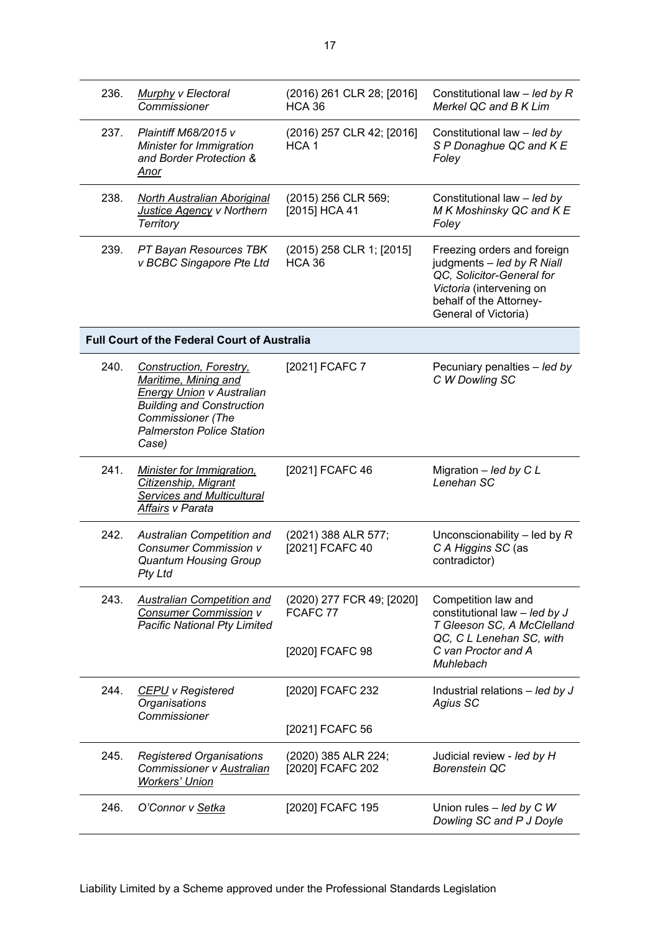| 236. | <b>Murphy v Electoral</b><br>Commissioner                                                                                                                                                               | (2016) 261 CLR 28; [2016]<br><b>HCA 36</b>               | Constitutional law $-$ led by R<br>Merkel QC and B K Lim                                                                                                              |
|------|---------------------------------------------------------------------------------------------------------------------------------------------------------------------------------------------------------|----------------------------------------------------------|-----------------------------------------------------------------------------------------------------------------------------------------------------------------------|
| 237. | <b>Plaintiff M68/2015 v</b><br>Minister for Immigration<br>and Border Protection &<br>Anor                                                                                                              | (2016) 257 CLR 42; [2016]<br>HCA <sub>1</sub>            | Constitutional law - led by<br>S P Donaghue QC and K E<br>Foley                                                                                                       |
| 238. | <b>North Australian Aboriginal</b><br>Justice Agency v Northern<br><b>Territory</b>                                                                                                                     | (2015) 256 CLR 569;<br>[2015] HCA 41                     | Constitutional law - led by<br>M K Moshinsky QC and K E<br>Foley                                                                                                      |
| 239. | PT Bayan Resources TBK<br>v BCBC Singapore Pte Ltd                                                                                                                                                      | (2015) 258 CLR 1; [2015]<br><b>HCA 36</b>                | Freezing orders and foreign<br>judgments - led by R Niall<br>QC, Solicitor-General for<br>Victoria (intervening on<br>behalf of the Attorney-<br>General of Victoria) |
|      | <b>Full Court of the Federal Court of Australia</b>                                                                                                                                                     |                                                          |                                                                                                                                                                       |
| 240. | <b>Construction, Forestry,</b><br>Maritime, Mining and<br><b>Energy Union v Australian</b><br><b>Building and Construction</b><br><b>Commissioner</b> (The<br><b>Palmerston Police Station</b><br>Case) | [2021] FCAFC 7                                           | Pecuniary penalties - led by<br>C W Dowling SC                                                                                                                        |
| 241. | <b>Minister for Immigration,</b><br>Citizenship, Migrant<br><b>Services and Multicultural</b><br>Affairs v Parata                                                                                       | [2021] FCAFC 46                                          | Migration - led by C L<br>Lenehan SC                                                                                                                                  |
| 242. | Australian Competition and<br><b>Consumer Commission v</b><br><b>Quantum Housing Group</b><br>Pty Ltd                                                                                                   | (2021) 388 ALR 577;<br>[2021] FCAFC 40                   | Unconscionability $-$ led by $R$<br>C A Higgins SC (as<br>contradictor)                                                                                               |
| 243. | <b>Australian Competition and</b><br><b>Consumer Commission v</b><br><b>Pacific National Pty Limited</b>                                                                                                | (2020) 277 FCR 49; [2020]<br>FCAFC 77<br>[2020] FCAFC 98 | Competition law and<br>constitutional law - led by J<br>T Gleeson SC, A McClelland<br>QC, C L Lenehan SC, with<br>C van Proctor and A<br>Muhlebach                    |
| 244. | <b>CEPU</b> v Registered<br>Organisations<br>Commissioner                                                                                                                                               | [2020] FCAFC 232                                         | Industrial relations $-$ led by J<br>Agius SC                                                                                                                         |
|      |                                                                                                                                                                                                         | [2021] FCAFC 56                                          |                                                                                                                                                                       |
| 245. | <b>Registered Organisations</b><br>Commissioner v Australian<br><b>Workers' Union</b>                                                                                                                   | (2020) 385 ALR 224;<br>[2020] FCAFC 202                  | Judicial review - led by H<br><b>Borenstein QC</b>                                                                                                                    |
| 246. | O'Connor v Setka                                                                                                                                                                                        | [2020] FCAFC 195                                         | Union rules $-$ led by C W<br>Dowling SC and P J Doyle                                                                                                                |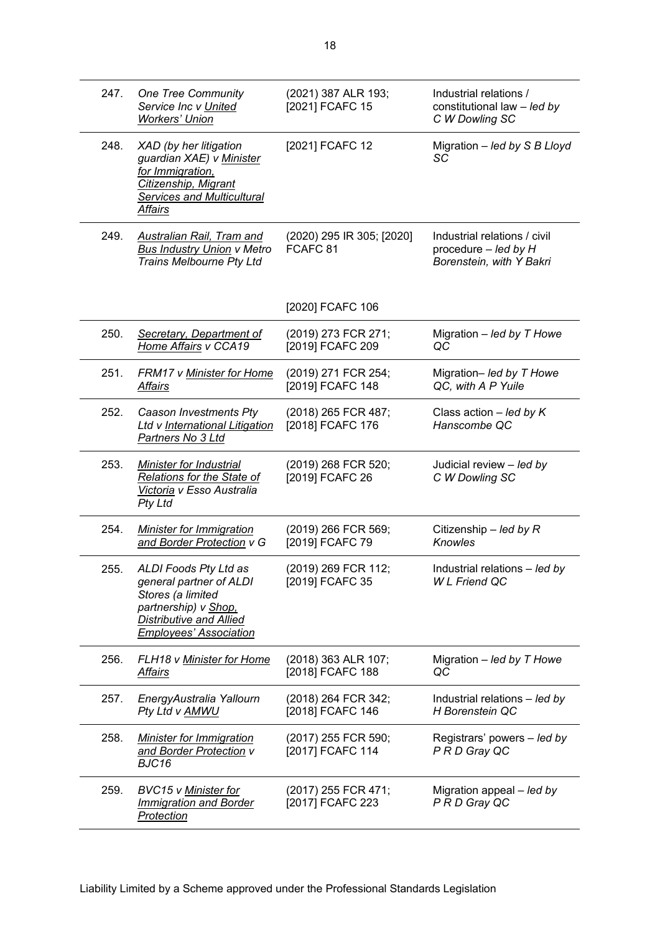| 247. | One Tree Community<br>Service Inc v United<br><b>Workers' Union</b>                                                                                       | (2021) 387 ALR 193;<br>[2021] FCAFC 15           | Industrial relations /<br>constitutional law - led by<br>C W Dowling SC            |
|------|-----------------------------------------------------------------------------------------------------------------------------------------------------------|--------------------------------------------------|------------------------------------------------------------------------------------|
| 248. | XAD (by her litigation<br>guardian XAE) v Minister<br>for Immigration,<br>Citizenship, Migrant<br><b>Services and Multicultural</b><br><b>Affairs</b>     | [2021] FCAFC 12                                  | Migration $-$ led by S B Lloyd<br>SC                                               |
| 249. | <b>Australian Rail, Tram and</b><br><b>Bus Industry Union v Metro</b><br>Trains Melbourne Pty Ltd                                                         | (2020) 295 IR 305; [2020]<br>FCAFC <sub>81</sub> | Industrial relations / civil<br>procedure $-$ led by H<br>Borenstein, with Y Bakri |
|      |                                                                                                                                                           | [2020] FCAFC 106                                 |                                                                                    |
| 250. | Secretary, Department of<br>Home Affairs v CCA19                                                                                                          | (2019) 273 FCR 271;<br>[2019] FCAFC 209          | Migration $-$ led by T Howe<br>QC                                                  |
| 251. | FRM17 v Minister for Home<br>Affairs                                                                                                                      | (2019) 271 FCR 254;<br>[2019] FCAFC 148          | Migration- led by T Howe<br>QC, with A P Yuile                                     |
| 252. | Caason Investments Pty<br>Ltd v International Litigation<br>Partners No 3 Ltd                                                                             | (2018) 265 FCR 487;<br>[2018] FCAFC 176          | Class action $-$ led by K<br>Hanscombe QC                                          |
| 253. | Minister for Industrial<br><b>Relations for the State of</b><br>Victoria v Esso Australia<br><b>Pty Ltd</b>                                               | (2019) 268 FCR 520;<br>[2019] FCAFC 26           | Judicial review - led by<br>C W Dowling SC                                         |
| 254. | Minister for Immigration<br>and Border Protection v G                                                                                                     | (2019) 266 FCR 569;<br>[2019] FCAFC 79           | Citizenship – led by $R$<br>Knowles                                                |
| 255. | ALDI Foods Pty Ltd as<br>general partner of ALDI<br>Stores (a limited<br>partnership) v Shop,<br>Distributive and Allied<br><b>Employees' Association</b> | (2019) 269 FCR 112;<br>[2019] FCAFC 35           | Industrial relations - led by<br><b>WL Friend QC</b>                               |
| 256. | FLH18 v Minister for Home<br><u>Affairs</u>                                                                                                               | (2018) 363 ALR 107;<br>[2018] FCAFC 188          | Migration $-$ led by T Howe<br>QC                                                  |
| 257. | EnergyAustralia Yallourn<br>Pty Ltd v AMWU                                                                                                                | (2018) 264 FCR 342;<br>[2018] FCAFC 146          | Industrial relations - led by<br>H Borenstein QC                                   |
| 258. | <b>Minister for Immigration</b><br>and Border Protection v<br>BJC16                                                                                       | (2017) 255 FCR 590;<br>[2017] FCAFC 114          | Registrars' powers - led by<br>P R D Gray QC                                       |
| 259. | <b>BVC15 v Minister for</b><br><b>Immigration and Border</b><br>Protection                                                                                | (2017) 255 FCR 471;<br>[2017] FCAFC 223          | Migration appeal - led by<br>P R D Gray QC                                         |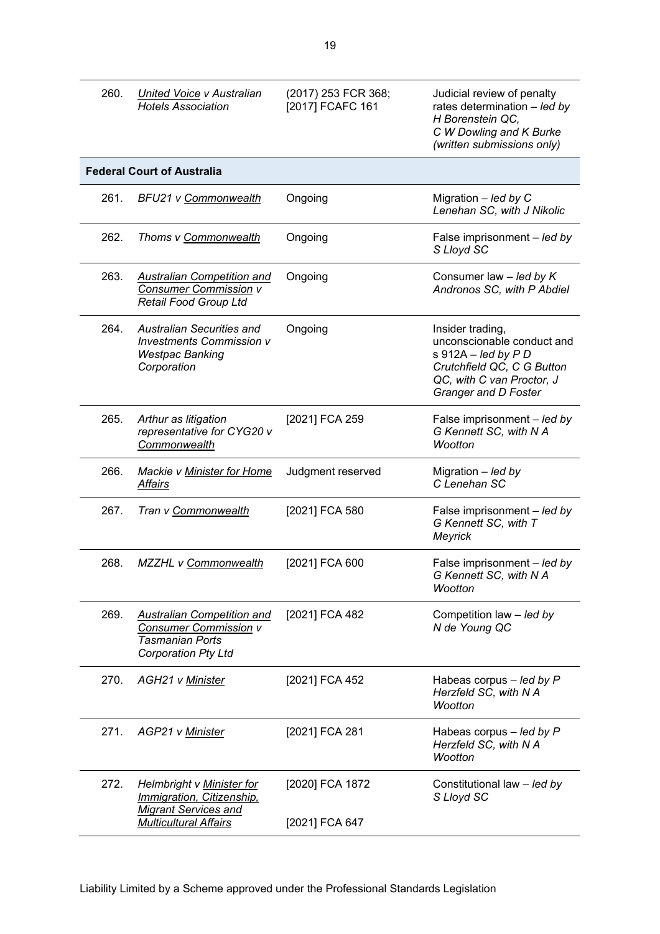| 260. | <b>United Voice v Australian</b><br><b>Hotels Association</b>                                                         | (2017) 253 FCR 368;<br>[2017] FCAFC 161 | Judicial review of penalty<br>rates determination $-$ led by<br>H Borenstein QC,<br>C W Dowling and K Burke<br>(written submissions only)                  |
|------|-----------------------------------------------------------------------------------------------------------------------|-----------------------------------------|------------------------------------------------------------------------------------------------------------------------------------------------------------|
|      | <b>Federal Court of Australia</b>                                                                                     |                                         |                                                                                                                                                            |
| 261. | <b>BFU21 v Commonwealth</b>                                                                                           | Ongoing                                 | Migration $-$ led by C<br>Lenehan SC, with J Nikolic                                                                                                       |
| 262. | Thoms v Commonwealth                                                                                                  | Ongoing                                 | False imprisonment - led by<br>S Lloyd SC                                                                                                                  |
| 263. | Australian Competition and<br><b>Consumer Commission v</b><br><b>Retail Food Group Ltd</b>                            | Ongoing                                 | Consumer law $-$ led by $K$<br>Andronos SC, with P Abdiel                                                                                                  |
| 264. | <b>Australian Securities and</b><br><b>Investments Commission v</b><br><b>Westpac Banking</b><br>Corporation          | Ongoing                                 | Insider trading,<br>unconscionable conduct and<br>s $912A - led by P D$<br>Crutchfield QC, C G Button<br>QC, with C van Proctor, J<br>Granger and D Foster |
| 265. | Arthur as litigation<br>representative for CYG20 v<br>Commonwealth                                                    | [2021] FCA 259                          | False imprisonment - led by<br>G Kennett SC, with N A<br>Wootton                                                                                           |
| 266. | Mackie v Minister for Home<br>Affairs                                                                                 | Judgment reserved                       | Migration $-$ led by<br>C Lenehan SC                                                                                                                       |
| 267. | Tran v Commonwealth                                                                                                   | [2021] FCA 580                          | False imprisonment - led by<br>G Kennett SC, with T<br>Meyrick                                                                                             |
| 268. | MZZHL v Commonwealth                                                                                                  | [2021] FCA 600                          | False imprisonment - led by<br>G Kennett SC, with N A<br>Wootton                                                                                           |
| 269. | <b>Australian Competition and</b><br>Consumer Commission v<br><b>Tasmanian Ports</b><br><b>Corporation Pty Ltd</b>    | [2021] FCA 482                          | Competition law - led by<br>N de Young QC                                                                                                                  |
| 270. | <b>AGH21 v Minister</b>                                                                                               | [2021] FCA 452                          | Habeas corpus $-$ led by P<br>Herzfeld SC, with N A<br>Wootton                                                                                             |
| 271. | AGP21 v Minister                                                                                                      | [2021] FCA 281                          | Habeas corpus $-$ led by P<br>Herzfeld SC, with N A<br>Wootton                                                                                             |
| 272. | Helmbright v Minister for<br>Immigration, Citizenship,<br><b>Migrant Services and</b><br><b>Multicultural Affairs</b> | [2020] FCA 1872<br>[2021] FCA 647       | Constitutional law - led by<br>S Lloyd SC                                                                                                                  |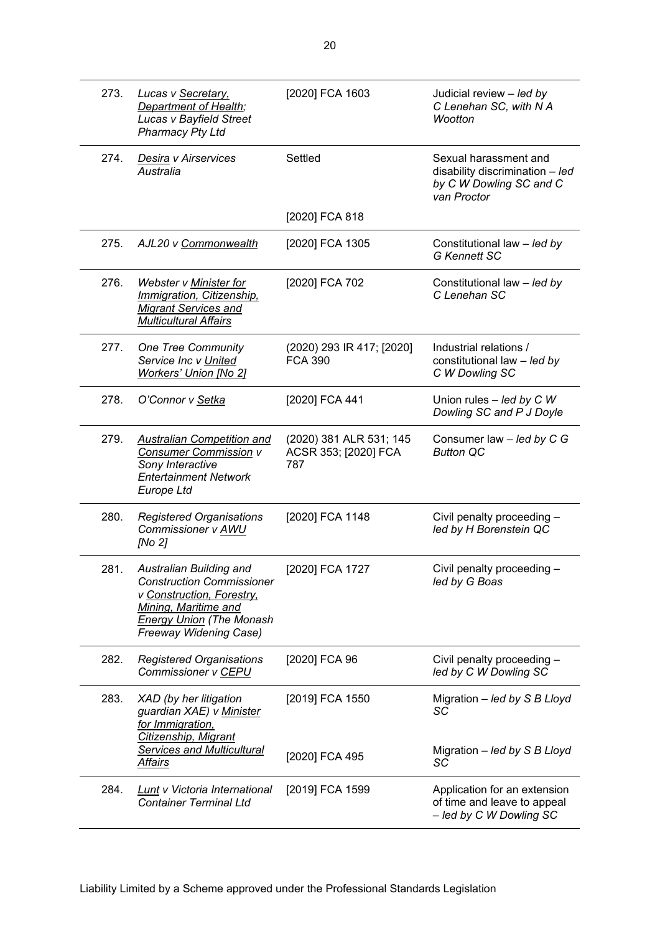| 273. | Lucas v Secretary,<br><b>Department of Health;</b><br>Lucas v Bayfield Street<br>Pharmacy Pty Ltd                                                                                    | [2020] FCA 1603                                        | Judicial review - led by<br>C Lenehan SC, with N A<br>Wootton                                      |
|------|--------------------------------------------------------------------------------------------------------------------------------------------------------------------------------------|--------------------------------------------------------|----------------------------------------------------------------------------------------------------|
| 274. | Desira v Airservices<br>Australia                                                                                                                                                    | Settled                                                | Sexual harassment and<br>disability discrimination - led<br>by C W Dowling SC and C<br>van Proctor |
|      |                                                                                                                                                                                      | [2020] FCA 818                                         |                                                                                                    |
| 275. | AJL20 v Commonwealth                                                                                                                                                                 | [2020] FCA 1305                                        | Constitutional law - led by<br><b>G Kennett SC</b>                                                 |
| 276. | Webster v Minister for<br>Immigration, Citizenship,<br><b>Migrant Services and</b><br><b>Multicultural Affairs</b>                                                                   | [2020] FCA 702                                         | Constitutional law - led by<br>C Lenehan SC                                                        |
| 277. | <b>One Tree Community</b><br>Service Inc v United<br><b>Workers' Union [No 2]</b>                                                                                                    | (2020) 293 IR 417; [2020]<br><b>FCA 390</b>            | Industrial relations /<br>constitutional law - led by<br>C W Dowling SC                            |
| 278. | O'Connor v Setka                                                                                                                                                                     | [2020] FCA 441                                         | Union rules $-$ <i>led by CW</i><br>Dowling SC and P J Doyle                                       |
| 279. | <b>Australian Competition and</b><br><b>Consumer Commission v</b><br>Sony Interactive<br><b>Entertainment Network</b><br><b>Europe Ltd</b>                                           | (2020) 381 ALR 531; 145<br>ACSR 353; [2020] FCA<br>787 | Consumer law - led by C G<br><b>Button QC</b>                                                      |
| 280. | <b>Registered Organisations</b><br>Commissioner v AWU<br>[No 2]                                                                                                                      | [2020] FCA 1148                                        | Civil penalty proceeding -<br>led by H Borenstein QC                                               |
| 281. | Australian Building and<br><b>Construction Commissioner</b><br>v Construction, Forestry,<br>Mining, Maritime and<br><b>Energy Union (The Monash</b><br><b>Freeway Widening Case)</b> | [2020] FCA 1727                                        | Civil penalty proceeding -<br>led by G Boas                                                        |
| 282. | Registered Organisations<br>Commissioner v CEPU                                                                                                                                      | [2020] FCA 96                                          | Civil penalty proceeding -<br>led by C W Dowling SC                                                |
| 283. | XAD (by her litigation<br>guardian XAE) v Minister<br>for Immigration,<br>Citizenship, Migrant                                                                                       | [2019] FCA 1550                                        | Migration - led by S B Lloyd<br>SC                                                                 |
|      | <b>Services and Multicultural</b><br><b>Affairs</b>                                                                                                                                  | [2020] FCA 495                                         | Migration $-$ led by S B Lloyd<br>SC                                                               |
| 284. | <b>Lunt v Victoria International</b><br><b>Container Terminal Ltd</b>                                                                                                                | [2019] FCA 1599                                        | Application for an extension<br>of time and leave to appeal<br>- led by C W Dowling SC             |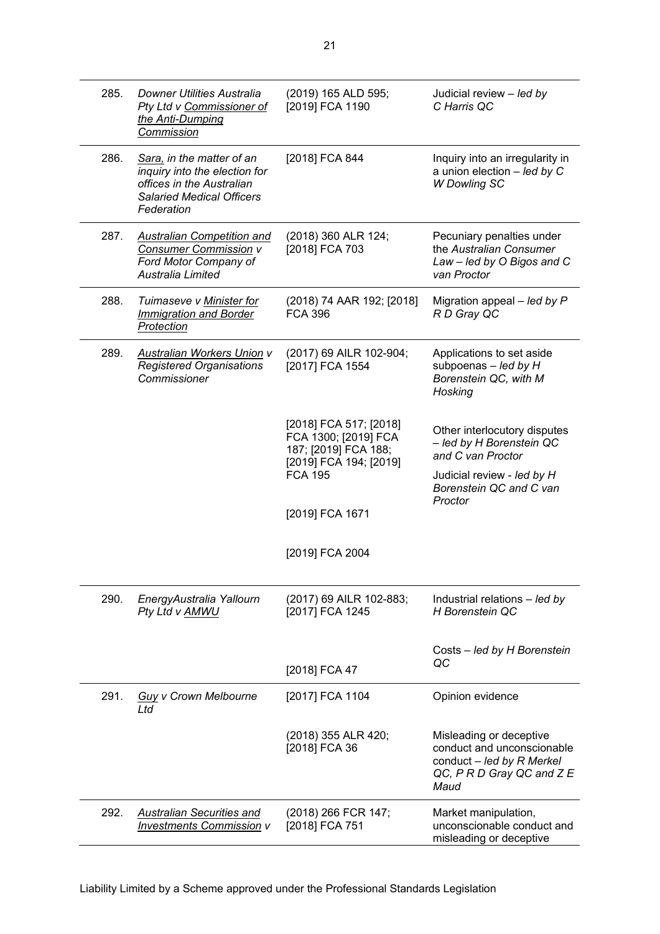| 285. | Downer Utilities Australia<br>Pty Ltd v Commissioner of<br>the Anti-Dumping<br>Commission                                                 | (2019) 165 ALD 595;<br>[2019] FCA 1190                                                                             | Judicial review - led by<br>C Harris QC                                                                                                |
|------|-------------------------------------------------------------------------------------------------------------------------------------------|--------------------------------------------------------------------------------------------------------------------|----------------------------------------------------------------------------------------------------------------------------------------|
| 286. | Sara, in the matter of an<br>inquiry into the election for<br>offices in the Australian<br><b>Salaried Medical Officers</b><br>Federation | [2018] FCA 844                                                                                                     | Inquiry into an irregularity in<br>a union election $-$ led by C<br><b>W</b> Dowling SC                                                |
| 287. | <b>Australian Competition and</b><br><b>Consumer Commission v</b><br>Ford Motor Company of<br>Australia Limited                           | (2018) 360 ALR 124;<br>[2018] FCA 703                                                                              | Pecuniary penalties under<br>the Australian Consumer<br>Law - led by O Bigos and C<br>van Proctor                                      |
| 288. | Tuimaseve v Minister for<br><b>Immigration and Border</b><br>Protection                                                                   | (2018) 74 AAR 192; [2018]<br><b>FCA 396</b>                                                                        | Migration appeal $-$ led by P<br>R D Gray QC                                                                                           |
| 289. | <b>Australian Workers Union v</b><br><b>Registered Organisations</b><br>Commissioner                                                      | (2017) 69 AILR 102-904;<br>[2017] FCA 1554                                                                         | Applications to set aside<br>subpoenas $-$ led by H<br>Borenstein QC, with M<br>Hosking                                                |
|      |                                                                                                                                           | [2018] FCA 517; [2018]<br>FCA 1300; [2019] FCA<br>187; [2019] FCA 188;<br>[2019] FCA 194; [2019]<br><b>FCA 195</b> | Other interlocutory disputes<br>- led by H Borenstein QC<br>and C van Proctor<br>Judicial review - led by H<br>Borenstein QC and C van |
|      |                                                                                                                                           | [2019] FCA 1671                                                                                                    | Proctor                                                                                                                                |
|      |                                                                                                                                           | [2019] FCA 2004                                                                                                    |                                                                                                                                        |
| 290. | EnergyAustralia Yallourn<br>Pty Ltd v AMWU                                                                                                | (2017) 69 AILR 102-883;<br>[2017] FCA 1245                                                                         | Industrial relations - led by<br>H Borenstein QC                                                                                       |
|      |                                                                                                                                           | [2018] FCA 47                                                                                                      | Costs - led by H Borenstein<br>QC                                                                                                      |
| 291. | <b>Guy v Crown Melbourne</b><br>Ltd                                                                                                       | [2017] FCA 1104                                                                                                    | Opinion evidence                                                                                                                       |
|      |                                                                                                                                           | (2018) 355 ALR 420;<br>[2018] FCA 36                                                                               | Misleading or deceptive<br>conduct and unconscionable<br>conduct $-$ led by R Merkel<br>QC, PRD Gray QC and ZE<br>Maud                 |
| 292. | Australian Securities and<br><b>Investments Commission v</b>                                                                              | (2018) 266 FCR 147;<br>[2018] FCA 751                                                                              | Market manipulation,<br>unconscionable conduct and<br>misleading or deceptive                                                          |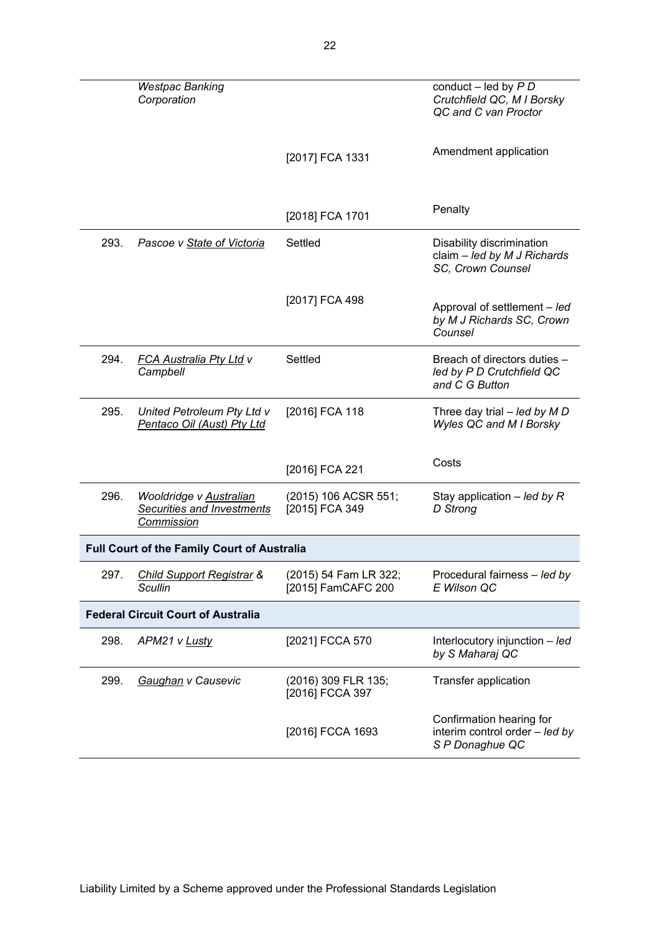|      | <b>Westpac Banking</b><br>Corporation                               |                                             | conduct $-$ led by $P D$<br>Crutchfield QC, M I Borsky<br>QC and C van Proctor |
|------|---------------------------------------------------------------------|---------------------------------------------|--------------------------------------------------------------------------------|
|      |                                                                     | [2017] FCA 1331                             | Amendment application                                                          |
|      |                                                                     | [2018] FCA 1701                             | Penalty                                                                        |
| 293. | Pascoe v State of Victoria                                          | Settled                                     | Disability discrimination<br>claim - led by M J Richards<br>SC, Crown Counsel  |
|      |                                                                     | [2017] FCA 498                              | Approval of settlement - led<br>by M J Richards SC, Crown<br>Counsel           |
| 294. | <b>FCA Australia Pty Ltd v</b><br>Campbell                          | Settled                                     | Breach of directors duties -<br>led by P D Crutchfield QC<br>and C G Button    |
| 295. | United Petroleum Pty Ltd v<br>Pentaco Oil (Aust) Pty Ltd            | [2016] FCA 118                              | Three day trial $-$ led by M D<br>Wyles QC and M I Borsky                      |
|      |                                                                     | [2016] FCA 221                              | Costs                                                                          |
| 296. | Wooldridge v Australian<br>Securities and Investments<br>Commission | (2015) 106 ACSR 551;<br>[2015] FCA 349      | Stay application $-$ led by R<br>D Strong                                      |
|      | Full Court of the Family Court of Australia                         |                                             |                                                                                |
| 297. | <b>Child Support Registrar &amp;</b><br>Scullin                     | (2015) 54 Fam LR 322;<br>[2015] FamCAFC 200 | Procedural fairness - led by<br>E Wilson QC                                    |
|      | <b>Federal Circuit Court of Australia</b>                           |                                             |                                                                                |
| 298. | APM21 v Lusty                                                       | [2021] FCCA 570                             | Interlocutory injunction $-$ <i>led</i><br>by S Maharaj QC                     |
| 299. | Gaughan v Causevic                                                  | (2016) 309 FLR 135;<br>[2016] FCCA 397      | Transfer application                                                           |
|      |                                                                     | [2016] FCCA 1693                            | Confirmation hearing for<br>interim control order - led by<br>S P Donaghue QC  |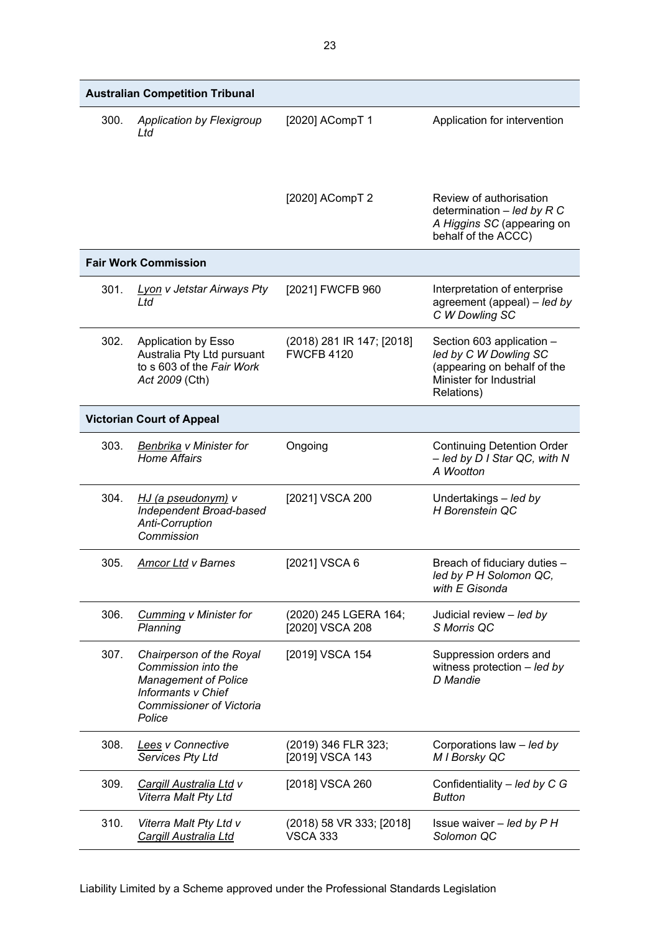|      | <b>Australian Competition Tribunal</b>                                                                                                                   |                                                |                                                                                                                            |
|------|----------------------------------------------------------------------------------------------------------------------------------------------------------|------------------------------------------------|----------------------------------------------------------------------------------------------------------------------------|
| 300. | <b>Application by Flexigroup</b><br>Ltd                                                                                                                  | [2020] ACompT 1                                | Application for intervention                                                                                               |
|      |                                                                                                                                                          | [2020] ACompT 2                                | Review of authorisation<br>determination $-$ led by R C<br>A Higgins SC (appearing on<br>behalf of the ACCC)               |
|      | <b>Fair Work Commission</b>                                                                                                                              |                                                |                                                                                                                            |
| 301. | <b>Lyon v Jetstar Airways Pty</b><br>Ltd                                                                                                                 | [2021] FWCFB 960                               | Interpretation of enterprise<br>agreement (appeal) - led by<br>C W Dowling SC                                              |
| 302. | <b>Application by Esso</b><br>Australia Pty Ltd pursuant<br>to s 603 of the Fair Work<br>Act 2009 (Cth)                                                  | (2018) 281 IR 147; [2018]<br><b>FWCFB 4120</b> | Section 603 application -<br>led by C W Dowling SC<br>(appearing on behalf of the<br>Minister for Industrial<br>Relations) |
|      | <b>Victorian Court of Appeal</b>                                                                                                                         |                                                |                                                                                                                            |
| 303. | Benbrika v Minister for<br><b>Home Affairs</b>                                                                                                           | Ongoing                                        | <b>Continuing Detention Order</b><br>- led by D I Star QC, with N<br>A Wootton                                             |
| 304. | HJ (a pseudonym) v<br>Independent Broad-based<br>Anti-Corruption<br>Commission                                                                           | [2021] VSCA 200                                | Undertakings - led by<br>H Borenstein QC                                                                                   |
| 305. | <b>Amcor Ltd v Barnes</b>                                                                                                                                | [2021] VSCA 6                                  | Breach of fiduciary duties -<br>led by P H Solomon QC,<br>with E Gisonda                                                   |
| 306. | <b>Cumming v Minister for</b><br>Planning                                                                                                                | (2020) 245 LGERA 164;<br>[2020] VSCA 208       | Judicial review - led by<br>S Morris QC                                                                                    |
| 307. | Chairperson of the Royal<br>Commission into the<br><b>Management of Police</b><br><b>Informants v Chief</b><br><b>Commissioner of Victoria</b><br>Police | [2019] VSCA 154                                | Suppression orders and<br>witness protection - led by<br>D Mandie                                                          |
| 308. | Lees v Connective<br>Services Pty Ltd                                                                                                                    | (2019) 346 FLR 323;<br>[2019] VSCA 143         | Corporations law - led by<br>M I Borsky QC                                                                                 |
| 309. | Cargill Australia Ltd v<br>Viterra Malt Pty Ltd                                                                                                          | [2018] VSCA 260                                | Confidentiality - led by C G<br><b>Button</b>                                                                              |
| 310. | Viterra Malt Pty Ltd v<br>Cargill Australia Ltd                                                                                                          | (2018) 58 VR 333; [2018]<br><b>VSCA 333</b>    | Issue waiver $-$ led by $P$ H<br>Solomon QC                                                                                |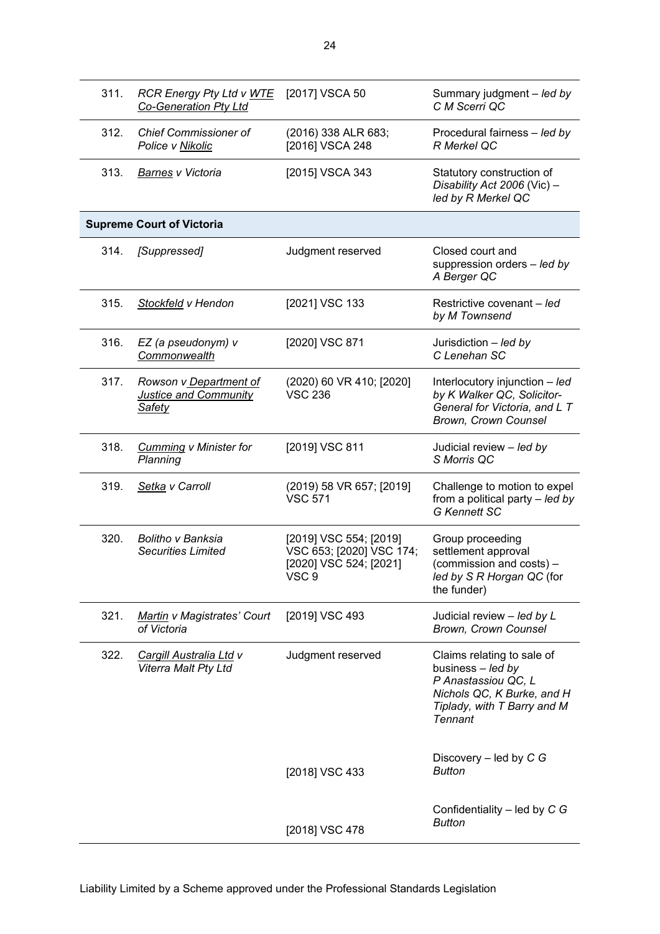| 311. | <b>RCR Energy Pty Ltd v WTE</b><br>Co-Generation Pty Ltd                | [2017] VSCA 50                                                                        | Summary judgment - led by<br>C M Scerri QC                                                                                                            |
|------|-------------------------------------------------------------------------|---------------------------------------------------------------------------------------|-------------------------------------------------------------------------------------------------------------------------------------------------------|
| 312. | <b>Chief Commissioner of</b><br>Police v Nikolic                        | (2016) 338 ALR 683;<br>[2016] VSCA 248                                                | Procedural fairness - led by<br>R Merkel QC                                                                                                           |
| 313. | Barnes v Victoria                                                       | [2015] VSCA 343                                                                       | Statutory construction of<br>Disability Act 2006 (Vic) -<br>led by R Merkel QC                                                                        |
|      | <b>Supreme Court of Victoria</b>                                        |                                                                                       |                                                                                                                                                       |
| 314. | [Suppressed]                                                            | Judgment reserved                                                                     | Closed court and<br>suppression orders - led by<br>A Berger QC                                                                                        |
| 315. | Stockfeld v Hendon                                                      | [2021] VSC 133                                                                        | Restrictive covenant - led<br>by M Townsend                                                                                                           |
| 316. | EZ (a pseudonym) v<br>Commonwealth                                      | [2020] VSC 871                                                                        | Jurisdiction - led by<br>C Lenehan SC                                                                                                                 |
| 317. | Rowson v Department of<br><b>Justice and Community</b><br><b>Safety</b> | (2020) 60 VR 410; [2020]<br><b>VSC 236</b>                                            | Interlocutory injunction - led<br>by K Walker QC, Solicitor-<br>General for Victoria, and L T<br>Brown, Crown Counsel                                 |
| 318. | <b>Cumming v Minister for</b><br>Planning                               | [2019] VSC 811                                                                        | Judicial review - led by<br>S Morris QC                                                                                                               |
| 319. | Setka v Carroll                                                         | (2019) 58 VR 657; [2019]<br><b>VSC 571</b>                                            | Challenge to motion to expel<br>from a political party - led by<br><b>G Kennett SC</b>                                                                |
| 320. | <b>Bolitho v Banksia</b><br><b>Securities Limited</b>                   | [2019] VSC 554; [2019]<br>VSC 653; [2020] VSC 174;<br>[2020] VSC 524; [2021]<br>VSC 9 | Group proceeding<br>settlement approval<br>(commission and costs) -<br>led by S R Horgan QC (for<br>the funder)                                       |
| 321. | Martin v Magistrates' Court<br>of Victoria                              | [2019] VSC 493                                                                        | Judicial review - led by L<br>Brown, Crown Counsel                                                                                                    |
| 322. | <b>Cargill Australia Ltd v</b><br>Viterra Malt Pty Ltd                  | Judgment reserved                                                                     | Claims relating to sale of<br>business - led by<br>P Anastassiou QC, L<br>Nichols QC, K Burke, and H<br>Tiplady, with T Barry and M<br><b>Tennant</b> |
|      |                                                                         | [2018] VSC 433                                                                        | Discovery $-$ led by C G<br><b>Button</b>                                                                                                             |
|      |                                                                         | [2018] VSC 478                                                                        | Confidentiality $-$ led by C G<br><b>Button</b>                                                                                                       |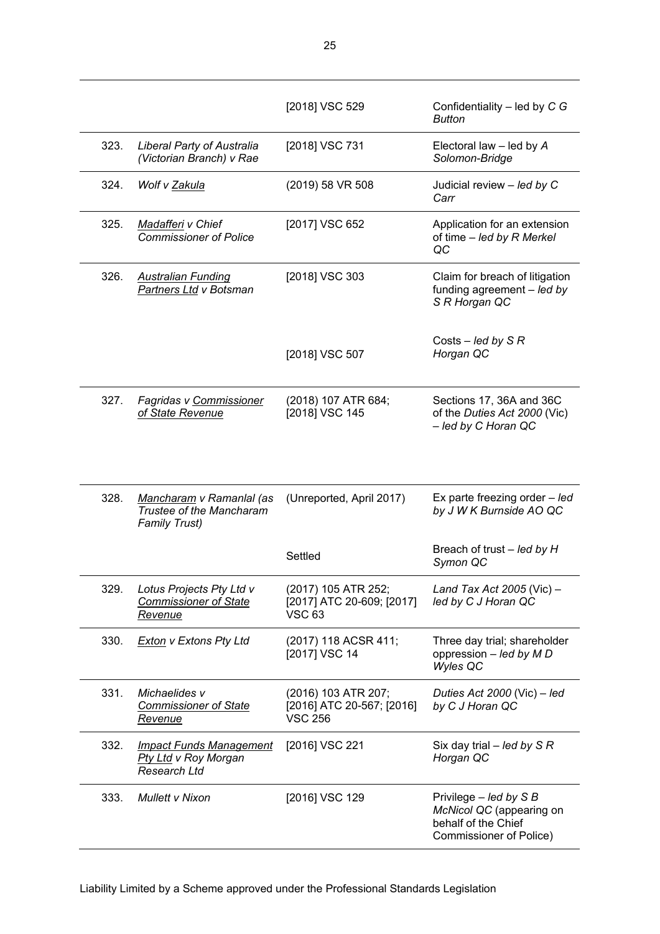|      |                                                                               | [2018] VSC 529                                                     | Confidentiality - led by C G<br><b>Button</b>                                                                 |
|------|-------------------------------------------------------------------------------|--------------------------------------------------------------------|---------------------------------------------------------------------------------------------------------------|
| 323. | <b>Liberal Party of Australia</b><br>(Victorian Branch) v Rae                 | [2018] VSC 731                                                     | Electoral law $-$ led by $A$<br>Solomon-Bridge                                                                |
| 324. | Wolf v Zakula                                                                 | (2019) 58 VR 508                                                   | Judicial review - led by C<br>Carr                                                                            |
| 325. | Madafferi v Chief<br><b>Commissioner of Police</b>                            | [2017] VSC 652                                                     | Application for an extension<br>of time - led by R Merkel<br>QC                                               |
| 326. | <b>Australian Funding</b><br>Partners Ltd v Botsman                           | [2018] VSC 303                                                     | Claim for breach of litigation<br>funding agreement $-$ led by<br>S R Horgan QC                               |
|      |                                                                               | [2018] VSC 507                                                     | Costs – led by $S \, R$<br>Horgan QC                                                                          |
| 327. | Fagridas v Commissioner<br>of State Revenue                                   | (2018) 107 ATR 684;<br>[2018] VSC 145                              | Sections 17, 36A and 36C<br>of the Duties Act 2000 (Vic)<br>- led by C Horan QC                               |
| 328. | Mancharam v Ramanlal (as<br>Trustee of the Mancharam<br><b>Family Trust)</b>  | (Unreported, April 2017)                                           | Ex parte freezing order - led<br>by J W K Burnside AO QC                                                      |
|      |                                                                               | Settled                                                            | Breach of trust – led by H<br>Symon QC                                                                        |
| 329. | Lotus Projects Pty Ltd v<br><b>Commissioner of State</b><br><u>Revenue</u>    | (2017) 105 ATR 252;<br>[2017] ATC 20-609; [2017]<br><b>VSC 63</b>  | Land Tax Act 2005 (Vic) $-$<br>led by C J Horan QC                                                            |
| 330. | <b>Exton v Extons Pty Ltd</b>                                                 | (2017) 118 ACSR 411;<br>[2017] VSC 14                              | Three day trial; shareholder<br>oppression - led by M D<br>Wyles QC                                           |
| 331. | Michaelides v<br><b>Commissioner of State</b><br><u>Revenue</u>               | (2016) 103 ATR 207;<br>[2016] ATC 20-567; [2016]<br><b>VSC 256</b> | Duties Act 2000 (Vic) $-$ led<br>by C J Horan QC                                                              |
| 332. | <b>Impact Funds Management</b><br>Pty Ltd v Roy Morgan<br><b>Research Ltd</b> | [2016] VSC 221                                                     | Six day trial $-$ led by S R<br>Horgan QC                                                                     |
| 333. | <b>Mullett v Nixon</b>                                                        | [2016] VSC 129                                                     | Privilege $-$ <i>led by</i> S B<br>McNicol QC (appearing on<br>behalf of the Chief<br>Commissioner of Police) |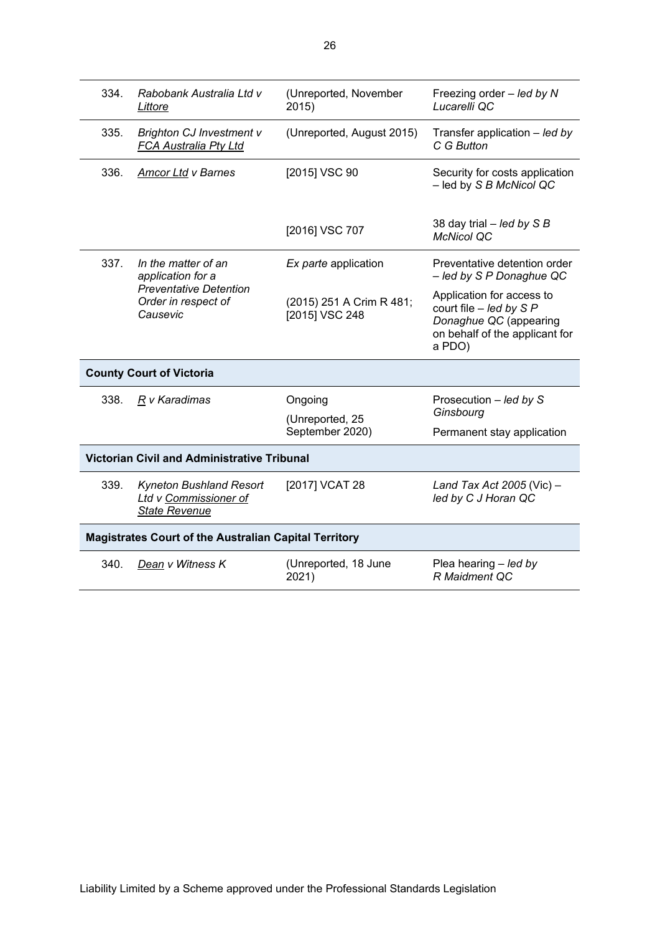| 334.                                                         | Rabobank Australia Ltd v<br>Littore                                                                          | (Unreported, November<br>2015)             | Freezing order - led by N<br>Lucarelli QC                                                                                    |  |  |
|--------------------------------------------------------------|--------------------------------------------------------------------------------------------------------------|--------------------------------------------|------------------------------------------------------------------------------------------------------------------------------|--|--|
| 335.                                                         | <b>Brighton CJ Investment v</b><br>FCA Australia Pty Ltd                                                     | (Unreported, August 2015)                  | Transfer application $-$ led by<br>C G Button                                                                                |  |  |
| 336.                                                         | <b>Amcor Ltd v Barnes</b>                                                                                    | [2015] VSC 90                              | Security for costs application<br>- led by S B McNicol QC                                                                    |  |  |
|                                                              |                                                                                                              | [2016] VSC 707                             | 38 day trial $-$ led by S B<br><b>McNicol QC</b>                                                                             |  |  |
| 337.                                                         | In the matter of an<br>application for a<br><b>Preventative Detention</b><br>Order in respect of<br>Causevic | Ex parte application                       | Preventative detention order<br>- led by S P Donaghue QC                                                                     |  |  |
|                                                              |                                                                                                              | (2015) 251 A Crim R 481;<br>[2015] VSC 248 | Application for access to<br>court file $-$ led by S P<br>Donaghue QC (appearing<br>on behalf of the applicant for<br>a PDO) |  |  |
| <b>County Court of Victoria</b>                              |                                                                                                              |                                            |                                                                                                                              |  |  |
| 338.                                                         | $R$ v Karadimas                                                                                              | Ongoing<br>(Unreported, 25                 | Prosecution - led by S<br>Ginsbourg                                                                                          |  |  |
|                                                              |                                                                                                              | September 2020)                            | Permanent stay application                                                                                                   |  |  |
| <b>Victorian Civil and Administrative Tribunal</b>           |                                                                                                              |                                            |                                                                                                                              |  |  |
| 339.                                                         | Kyneton Bushland Resort<br>Ltd v Commissioner of<br><b>State Revenue</b>                                     | [2017] VCAT 28                             | Land Tax Act 2005 (Vic) -<br>led by C J Horan QC                                                                             |  |  |
| <b>Magistrates Court of the Australian Capital Territory</b> |                                                                                                              |                                            |                                                                                                                              |  |  |
| 340.                                                         | Dean v Witness K                                                                                             | (Unreported, 18 June<br>2021)              | Plea hearing - led by<br>R Maidment QC                                                                                       |  |  |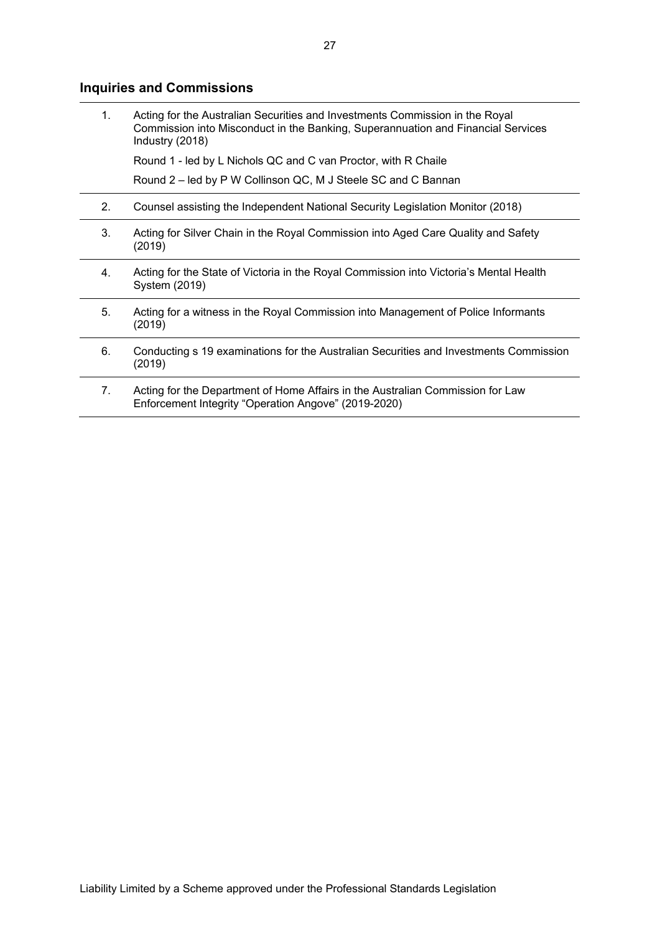# **Inquiries and Commissions**

| $\mathbf{1}$ . | Acting for the Australian Securities and Investments Commission in the Royal<br>Commission into Misconduct in the Banking, Superannuation and Financial Services<br>Industry (2018) |
|----------------|-------------------------------------------------------------------------------------------------------------------------------------------------------------------------------------|
|                | Round 1 - led by L Nichols QC and C van Proctor, with R Chaile                                                                                                                      |
|                | Round 2 – led by P W Collinson QC, M J Steele SC and C Bannan                                                                                                                       |
| 2.             | Counsel assisting the Independent National Security Legislation Monitor (2018)                                                                                                      |
| 3.             | Acting for Silver Chain in the Royal Commission into Aged Care Quality and Safety<br>(2019)                                                                                         |
| 4.             | Acting for the State of Victoria in the Royal Commission into Victoria's Mental Health<br>System (2019)                                                                             |
| 5.             | Acting for a witness in the Royal Commission into Management of Police Informants<br>(2019)                                                                                         |
| 6.             | Conducting s 19 examinations for the Australian Securities and Investments Commission<br>(2019)                                                                                     |
| 7.             | Acting for the Department of Home Affairs in the Australian Commission for Law<br>Enforcement Integrity "Operation Angove" (2019-2020)                                              |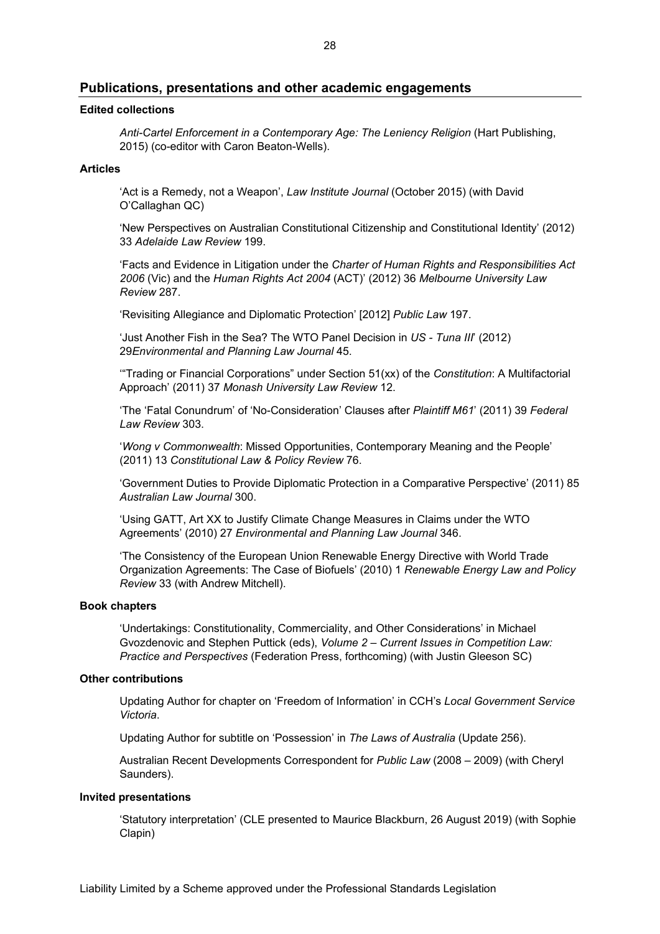### **Publications, presentations and other academic engagements**

#### **Edited collections**

*Anti-Cartel Enforcement in a Contemporary Age: The Leniency Religion* (Hart Publishing, 2015) (co-editor with Caron Beaton-Wells).

### **Articles**

'Act is a Remedy, not a Weapon', *Law Institute Journal* (October 2015) (with David O'Callaghan QC)

'New Perspectives on Australian Constitutional Citizenship and Constitutional Identity' (2012) 33 *Adelaide Law Review* 199.

'Facts and Evidence in Litigation under the *Charter of Human Rights and Responsibilities Act 2006* (Vic) and the *Human Rights Act 2004* (ACT)' (2012) 36 *Melbourne University Law Review* 287.

'Revisiting Allegiance and Diplomatic Protection' [2012] *Public Law* 197.

'Just Another Fish in the Sea? The WTO Panel Decision in *US - Tuna III*' (2012) 29*Environmental and Planning Law Journal* 45.

'"Trading or Financial Corporations" under Section 51(xx) of the *Constitution*: A Multifactorial Approach' (2011) 37 *Monash University Law Review* 12.

'The 'Fatal Conundrum' of 'No-Consideration' Clauses after *Plaintiff M61*' (2011) 39 *Federal Law Review* 303.

'*Wong v Commonwealth*: Missed Opportunities, Contemporary Meaning and the People' (2011) 13 *Constitutional Law & Policy Review* 76.

'Government Duties to Provide Diplomatic Protection in a Comparative Perspective' (2011) 85 *Australian Law Journal* 300.

'Using GATT, Art XX to Justify Climate Change Measures in Claims under the WTO Agreements' (2010) 27 *Environmental and Planning Law Journal* 346.

'The Consistency of the European Union Renewable Energy Directive with World Trade Organization Agreements: The Case of Biofuels' (2010) 1 *Renewable Energy Law and Policy Review* 33 (with Andrew Mitchell).

#### **Book chapters**

'Undertakings: Constitutionality, Commerciality, and Other Considerations' in Michael Gvozdenovic and Stephen Puttick (eds), *Volume 2 – Current Issues in Competition Law: Practice and Perspectives* (Federation Press, forthcoming) (with Justin Gleeson SC)

#### **Other contributions**

Updating Author for chapter on 'Freedom of Information' in CCH's *Local Government Service Victoria*.

Updating Author for subtitle on 'Possession' in *The Laws of Australia* (Update 256).

Australian Recent Developments Correspondent for *Public Law* (2008 – 2009) (with Cheryl Saunders).

#### **Invited presentations**

'Statutory interpretation' (CLE presented to Maurice Blackburn, 26 August 2019) (with Sophie Clapin)